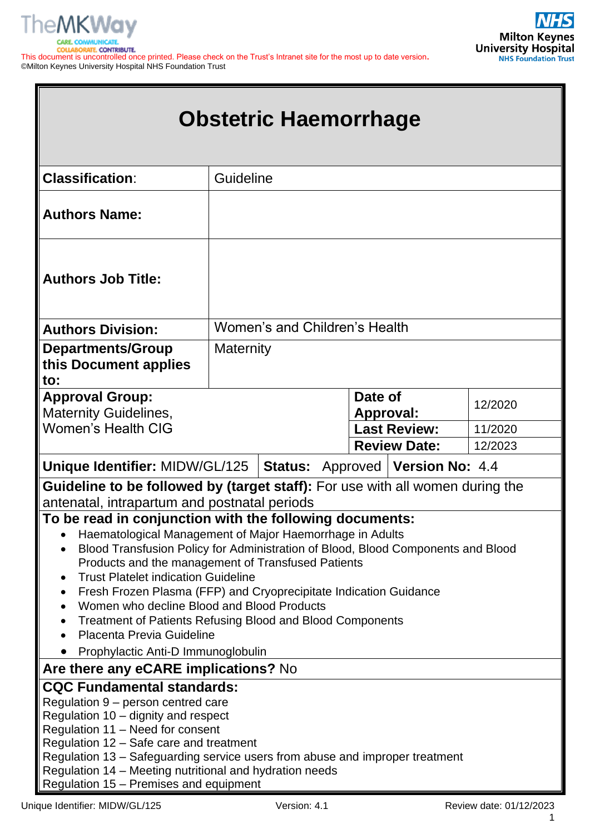

| <b>COLDADORATE, CONTRIBUTE.</b>                                                                                        |  |  |
|------------------------------------------------------------------------------------------------------------------------|--|--|
| This document is uncontrolled once printed. Please check on the Trust's Intranet site for the most up to date version. |  |  |
| ©Milton Keynes University Hospital NHS Foundation Trust                                                                |  |  |

| <b>Obstetric Haemorrhage</b>                                                                                                                                                                                                                                                                                                                                                                                                                                                                                                                                                                                                                         |                               |                                                  |         |  |
|------------------------------------------------------------------------------------------------------------------------------------------------------------------------------------------------------------------------------------------------------------------------------------------------------------------------------------------------------------------------------------------------------------------------------------------------------------------------------------------------------------------------------------------------------------------------------------------------------------------------------------------------------|-------------------------------|--------------------------------------------------|---------|--|
| <b>Classification:</b>                                                                                                                                                                                                                                                                                                                                                                                                                                                                                                                                                                                                                               | Guideline                     |                                                  |         |  |
| <b>Authors Name:</b>                                                                                                                                                                                                                                                                                                                                                                                                                                                                                                                                                                                                                                 |                               |                                                  |         |  |
| <b>Authors Job Title:</b>                                                                                                                                                                                                                                                                                                                                                                                                                                                                                                                                                                                                                            |                               |                                                  |         |  |
| <b>Authors Division:</b>                                                                                                                                                                                                                                                                                                                                                                                                                                                                                                                                                                                                                             | Women's and Children's Health |                                                  |         |  |
| <b>Departments/Group</b><br>this Document applies<br>to:                                                                                                                                                                                                                                                                                                                                                                                                                                                                                                                                                                                             | <b>Maternity</b>              |                                                  |         |  |
| <b>Approval Group:</b><br><b>Maternity Guidelines,</b>                                                                                                                                                                                                                                                                                                                                                                                                                                                                                                                                                                                               |                               | Date of<br><b>Approval:</b>                      | 12/2020 |  |
| <b>Women's Health CIG</b>                                                                                                                                                                                                                                                                                                                                                                                                                                                                                                                                                                                                                            |                               | <b>Last Review:</b>                              | 11/2020 |  |
|                                                                                                                                                                                                                                                                                                                                                                                                                                                                                                                                                                                                                                                      |                               | <b>Review Date:</b>                              | 12/2023 |  |
| Unique Identifier: MIDW/GL/125                                                                                                                                                                                                                                                                                                                                                                                                                                                                                                                                                                                                                       |                               | <b>Status:</b> Approved   <b>Version No:</b> 4.4 |         |  |
| <b>Guideline to be followed by (target staff):</b> For use with all women during the                                                                                                                                                                                                                                                                                                                                                                                                                                                                                                                                                                 |                               |                                                  |         |  |
| antenatal, intrapartum and postnatal periods<br>To be read in conjunction with the following documents:<br>Haematological Management of Major Haemorrhage in Adults<br>Blood Transfusion Policy for Administration of Blood, Blood Components and Blood<br>Products and the management of Transfused Patients<br><b>Trust Platelet indication Guideline</b><br>$\bullet$<br>Fresh Frozen Plasma (FFP) and Cryoprecipitate Indication Guidance<br>٠<br>Women who decline Blood and Blood Products<br><b>Treatment of Patients Refusing Blood and Blood Components</b><br>$\bullet$<br>Placenta Previa Guideline<br>Prophylactic Anti-D Immunoglobulin |                               |                                                  |         |  |
| Are there any eCARE implications? No                                                                                                                                                                                                                                                                                                                                                                                                                                                                                                                                                                                                                 |                               |                                                  |         |  |
| <b>CQC Fundamental standards:</b><br>Regulation 9 – person centred care<br>Regulation 10 – dignity and respect<br>Regulation 11 - Need for consent<br>Regulation 12 – Safe care and treatment<br>Regulation 13 - Safeguarding service users from abuse and improper treatment<br>Regulation 14 – Meeting nutritional and hydration needs<br>Regulation 15 - Premises and equipment                                                                                                                                                                                                                                                                   |                               |                                                  |         |  |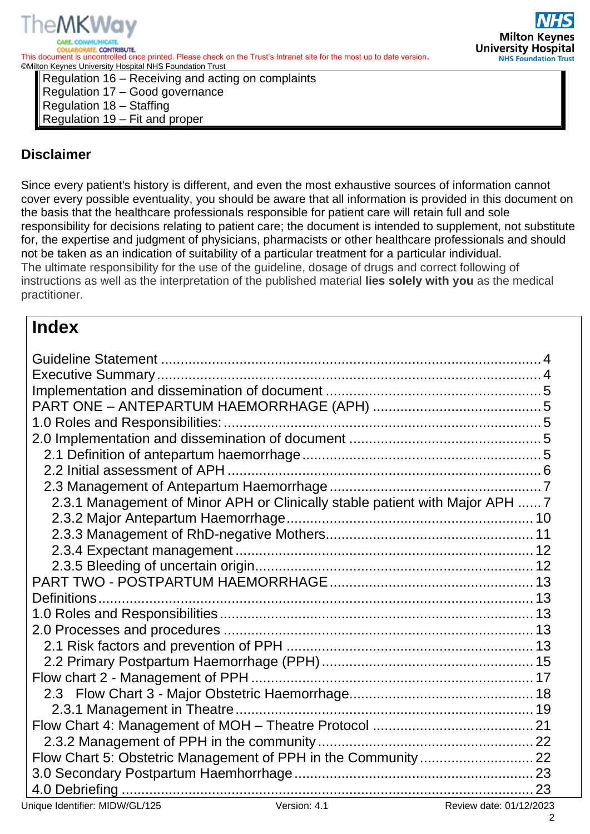



Regulation 16 – Receiving and acting on complaints Regulation 17 – Good governance Regulation 18 – Staffing Regulation 19 – Fit and proper

# **Disclaimer**

Since every patient's history is different, and even the most exhaustive sources of information cannot cover every possible eventuality, you should be aware that all information is provided in this document on the basis that the healthcare professionals responsible for patient care will retain full and sole responsibility for decisions relating to patient care; the document is intended to supplement, not substitute for, the expertise and judgment of physicians, pharmacists or other healthcare professionals and should not be taken as an indication of suitability of a particular treatment for a particular individual. The ultimate responsibility for the use of the guideline, dosage of drugs and correct following of instructions as well as the interpretation of the published material **lies solely with you** as the medical practitioner.

# **Index**

| 2.3.1 Management of Minor APH or Clinically stable patient with Major APH  7 |
|------------------------------------------------------------------------------|
|                                                                              |
|                                                                              |
|                                                                              |
|                                                                              |
|                                                                              |
|                                                                              |
|                                                                              |
|                                                                              |
|                                                                              |
|                                                                              |
|                                                                              |
|                                                                              |
|                                                                              |
|                                                                              |
|                                                                              |
|                                                                              |
|                                                                              |
|                                                                              |

2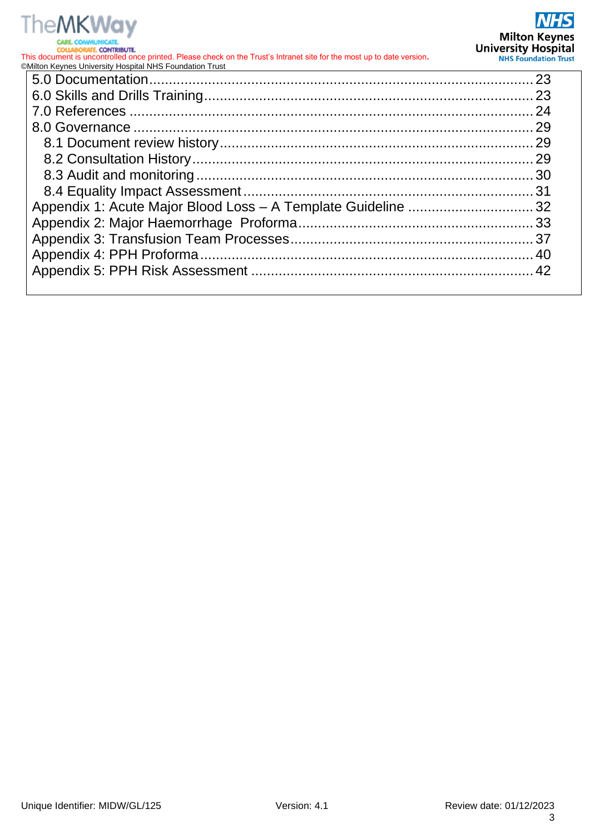# **TheMKWay CARE**

**COLLABORATE, CONTRIBUTE.** This document is uncontrolled once printed. Please check on the Trust's Intranet site for the most up to date version**.** ©Milton Keynes University Hospital NHS Foundation Trust

|  | 23 |
|--|----|
|  |    |
|  |    |
|  |    |
|  |    |
|  |    |
|  |    |
|  |    |
|  |    |
|  |    |
|  |    |
|  |    |
|  |    |
|  |    |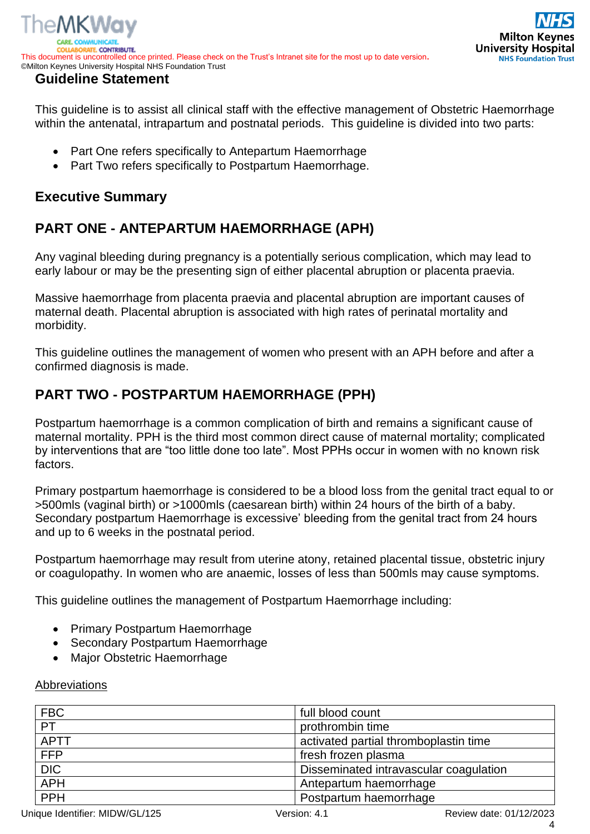

<span id="page-3-0"></span>This guideline is to assist all clinical staff with the effective management of Obstetric Haemorrhage within the antenatal, intrapartum and postnatal periods. This guideline is divided into two parts:

- Part One refers specifically to Antepartum Haemorrhage
- Part Two refers specifically to Postpartum Haemorrhage.

# <span id="page-3-1"></span>**Executive Summary**

# **PART ONE - ANTEPARTUM HAEMORRHAGE (APH)**

Any vaginal bleeding during pregnancy is a potentially serious complication, which may lead to early labour or may be the presenting sign of either placental abruption or placenta praevia.

Massive haemorrhage from placenta praevia and placental abruption are important causes of maternal death. Placental abruption is associated with high rates of perinatal mortality and morbidity.

This guideline outlines the management of women who present with an APH before and after a confirmed diagnosis is made.

# **PART TWO - POSTPARTUM HAEMORRHAGE (PPH)**

Postpartum haemorrhage is a common complication of birth and remains a significant cause of maternal mortality. PPH is the third most common direct cause of maternal mortality; complicated by interventions that are "too little done too late". Most PPHs occur in women with no known risk factors.

Primary postpartum haemorrhage is considered to be a blood loss from the genital tract equal to or >500mls (vaginal birth) or >1000mls (caesarean birth) within 24 hours of the birth of a baby. Secondary postpartum Haemorrhage is excessive' bleeding from the genital tract from 24 hours and up to 6 weeks in the postnatal period.

Postpartum haemorrhage may result from uterine atony, retained placental tissue, obstetric injury or coagulopathy. In women who are anaemic, losses of less than 500mls may cause symptoms.

This guideline outlines the management of Postpartum Haemorrhage including:

- Primary Postpartum Haemorrhage
- Secondary Postpartum Haemorrhage
- Major Obstetric Haemorrhage

#### Abbreviations

| <b>FBC</b>  | full blood count                       |  |
|-------------|----------------------------------------|--|
| PT          | prothrombin time                       |  |
| <b>APTT</b> | activated partial thromboplastin time  |  |
| <b>FFP</b>  | fresh frozen plasma                    |  |
| DIC         | Disseminated intravascular coagulation |  |
| <b>APH</b>  | Antepartum haemorrhage                 |  |
| <b>PPH</b>  | Postpartum haemorrhage                 |  |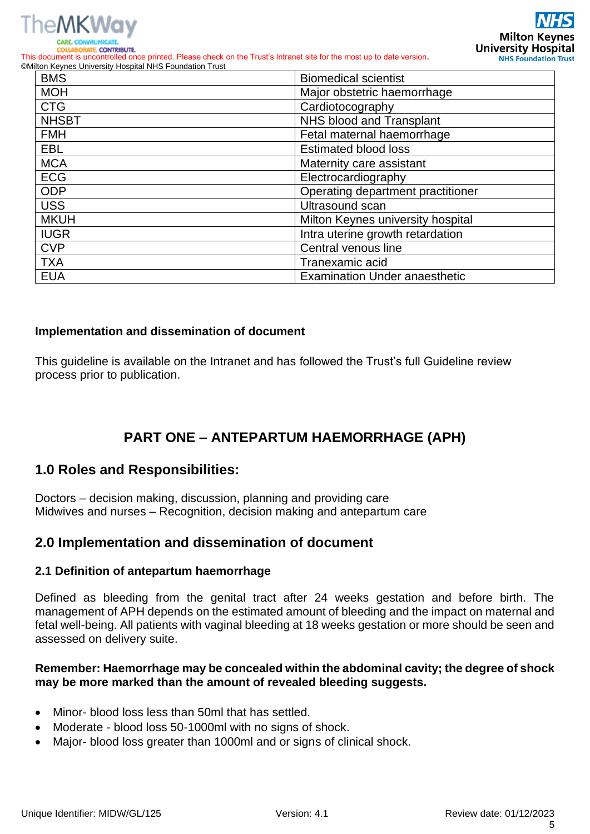

**RATE CONTRIBUTE** This document is uncontrolled once printed. Please check on the Trust's Intranet site for the most up to date version**.** ©Milton Keynes University Hospital NHS Foundation Trust

| <b>BMS</b>   | <b>Biomedical scientist</b>          |  |
|--------------|--------------------------------------|--|
| <b>MOH</b>   | Major obstetric haemorrhage          |  |
| <b>CTG</b>   | Cardiotocography                     |  |
| <b>NHSBT</b> | NHS blood and Transplant             |  |
| <b>FMH</b>   | Fetal maternal haemorrhage           |  |
| <b>EBL</b>   | <b>Estimated blood loss</b>          |  |
| <b>MCA</b>   | Maternity care assistant             |  |
| <b>ECG</b>   | Electrocardiography                  |  |
| <b>ODP</b>   | Operating department practitioner    |  |
| <b>USS</b>   | Ultrasound scan                      |  |
| <b>MKUH</b>  | Milton Keynes university hospital    |  |
| <b>IUGR</b>  | Intra uterine growth retardation     |  |
| <b>CVP</b>   | Central venous line                  |  |
| <b>TXA</b>   | Tranexamic acid                      |  |
| <b>EUA</b>   | <b>Examination Under anaesthetic</b> |  |

#### <span id="page-4-0"></span>**Implementation and dissemination of document**

This guideline is available on the Intranet and has followed the Trust's full Guideline review process prior to publication.

# **PART ONE – ANTEPARTUM HAEMORRHAGE (APH)**

### <span id="page-4-2"></span><span id="page-4-1"></span>**1.0 Roles and Responsibilities:**

Doctors – decision making, discussion, planning and providing care Midwives and nurses – Recognition, decision making and antepartum care

### <span id="page-4-3"></span>**2.0 Implementation and dissemination of document**

#### <span id="page-4-4"></span>**2.1 Definition of antepartum haemorrhage**

Defined as bleeding from the genital tract after 24 weeks gestation and before birth. The management of APH depends on the estimated amount of bleeding and the impact on maternal and fetal well-being. All patients with vaginal bleeding at 18 weeks gestation or more should be seen and assessed on delivery suite.

#### **Remember: Haemorrhage may be concealed within the abdominal cavity; the degree of shock may be more marked than the amount of revealed bleeding suggests.**

- Minor- blood loss less than 50ml that has settled.
- Moderate blood loss 50-1000ml with no signs of shock.
- Major- blood loss greater than 1000ml and or signs of clinical shock.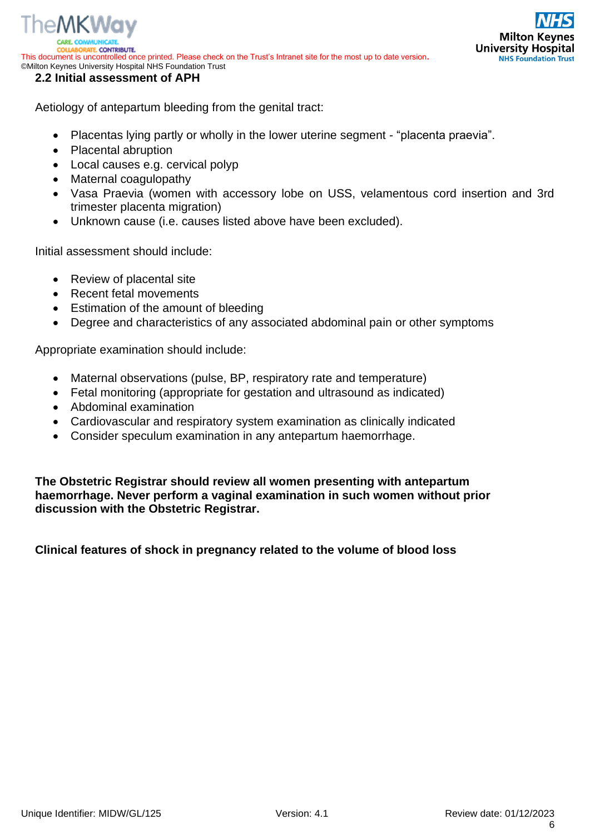

The MKWav

<span id="page-5-0"></span>Aetiology of antepartum bleeding from the genital tract:

- Placentas lying partly or wholly in the lower uterine segment "placenta praevia".
- Placental abruption
- Local causes e.g. cervical polyp
- Maternal coagulopathy
- Vasa Praevia (women with accessory lobe on USS, velamentous cord insertion and 3rd trimester placenta migration)
- Unknown cause (i.e. causes listed above have been excluded).

Initial assessment should include:

- Review of placental site
- Recent fetal movements
- Estimation of the amount of bleeding
- Degree and characteristics of any associated abdominal pain or other symptoms

Appropriate examination should include:

- Maternal observations (pulse, BP, respiratory rate and temperature)
- Fetal monitoring (appropriate for gestation and ultrasound as indicated)
- Abdominal examination
- Cardiovascular and respiratory system examination as clinically indicated
- Consider speculum examination in any antepartum haemorrhage.

**The Obstetric Registrar should review all women presenting with antepartum haemorrhage. Never perform a vaginal examination in such women without prior discussion with the Obstetric Registrar.**

**Clinical features of shock in pregnancy related to the volume of blood loss**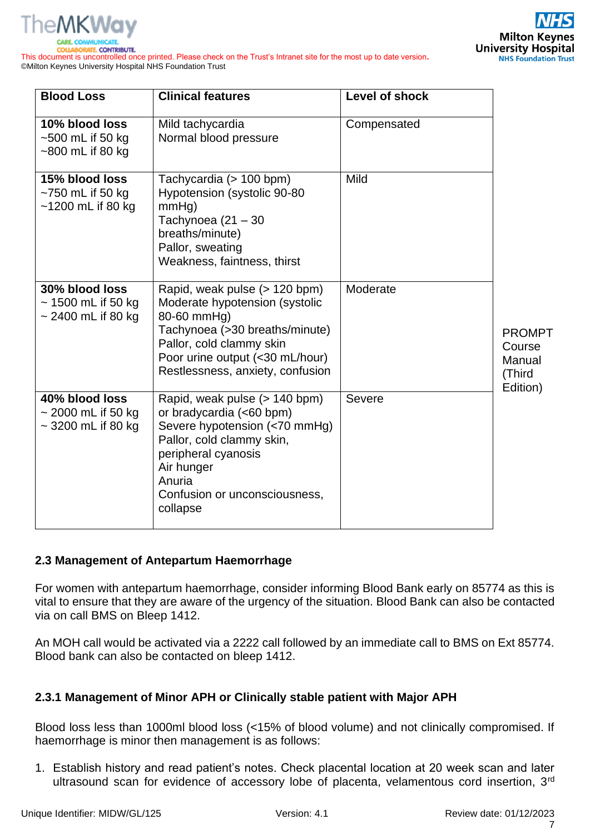

This document is uncontrolled once printed. Please check on the Trust's Intranet site for the most up to date version**.** ©Milton Keynes University Hospital NHS Foundation Trust

| <b>Blood Loss</b>                                                    | <b>Clinical features</b>                                                                                                                                                                                            | Level of shock |                                                         |
|----------------------------------------------------------------------|---------------------------------------------------------------------------------------------------------------------------------------------------------------------------------------------------------------------|----------------|---------------------------------------------------------|
| 10% blood loss<br>$\sim$ 500 mL if 50 kg<br>$~500$ mL if 80 kg       | Mild tachycardia<br>Normal blood pressure                                                                                                                                                                           | Compensated    |                                                         |
| 15% blood loss<br>$~1$ 750 mL if 50 kg<br>$~1200$ mL if 80 kg        | Tachycardia (> 100 bpm)<br>Hypotension (systolic 90-80<br>mmHg)<br>Tachynoea $(21 - 30)$<br>breaths/minute)<br>Pallor, sweating<br>Weakness, faintness, thirst                                                      | Mild           |                                                         |
| 30% blood loss<br>$\sim$ 1500 mL if 50 kg<br>$\sim$ 2400 mL if 80 kg | Rapid, weak pulse (> 120 bpm)<br>Moderate hypotension (systolic<br>80-60 mmHg)<br>Tachynoea (>30 breaths/minute)<br>Pallor, cold clammy skin<br>Poor urine output (<30 mL/hour)<br>Restlessness, anxiety, confusion | Moderate       | <b>PROMPT</b><br>Course<br>Manual<br>(Third<br>Edition) |
| 40% blood loss<br>$\sim$ 2000 mL if 50 kg<br>$\sim$ 3200 mL if 80 kg | Rapid, weak pulse (> 140 bpm)<br>or bradycardia (<60 bpm)<br>Severe hypotension (<70 mmHg)<br>Pallor, cold clammy skin,<br>peripheral cyanosis<br>Air hunger<br>Anuria<br>Confusion or unconsciousness,<br>collapse | Severe         |                                                         |

#### <span id="page-6-0"></span>**2.3 Management of Antepartum Haemorrhage**

For women with antepartum haemorrhage, consider informing Blood Bank early on 85774 as this is vital to ensure that they are aware of the urgency of the situation. Blood Bank can also be contacted via on call BMS on Bleep 1412.

An MOH call would be activated via a 2222 call followed by an immediate call to BMS on Ext 85774. Blood bank can also be contacted on bleep 1412.

#### <span id="page-6-1"></span>**2.3.1 Management of Minor APH or Clinically stable patient with Major APH**

Blood loss less than 1000ml blood loss (<15% of blood volume) and not clinically compromised. If haemorrhage is minor then management is as follows:

1. Establish history and read patient's notes. Check placental location at 20 week scan and later ultrasound scan for evidence of accessory lobe of placenta, velamentous cord insertion, 3<sup>rd</sup>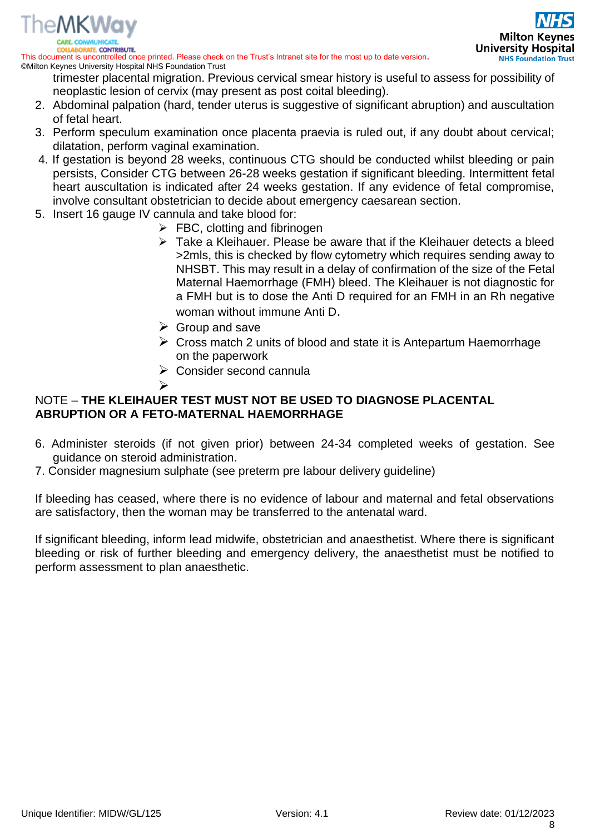

This document is uncontrolled once printed. Please check on the Trust's Intranet site for the most up to date version**.** ©Milton Keynes University Hospital NHS Foundation Trust

trimester placental migration. Previous cervical smear history is useful to assess for possibility of neoplastic lesion of cervix (may present as post coital bleeding).

- 2. Abdominal palpation (hard, tender uterus is suggestive of significant abruption) and auscultation of fetal heart.
- 3. Perform speculum examination once placenta praevia is ruled out, if any doubt about cervical; dilatation, perform vaginal examination.
- 4. If gestation is beyond 28 weeks, continuous CTG should be conducted whilst bleeding or pain persists, Consider CTG between 26-28 weeks gestation if significant bleeding. Intermittent fetal heart auscultation is indicated after 24 weeks gestation. If any evidence of fetal compromise, involve consultant obstetrician to decide about emergency caesarean section.
- 5. Insert 16 gauge IV cannula and take blood for:

➢

- $\triangleright$  FBC, clotting and fibrinogen
- $\triangleright$  Take a Kleihauer. Please be aware that if the Kleihauer detects a bleed >2mls, this is checked by flow cytometry which requires sending away to NHSBT. This may result in a delay of confirmation of the size of the Fetal Maternal Haemorrhage (FMH) bleed. The Kleihauer is not diagnostic for a FMH but is to dose the Anti D required for an FMH in an Rh negative woman without immune Anti D.
- $\triangleright$  Group and save
- $\triangleright$  Cross match 2 units of blood and state it is Antepartum Haemorrhage on the paperwork
- $\triangleright$  Consider second cannula

#### NOTE – **THE KLEIHAUER TEST MUST NOT BE USED TO DIAGNOSE PLACENTAL ABRUPTION OR A FETO-MATERNAL HAEMORRHAGE**

- 6. Administer steroids (if not given prior) between 24-34 completed weeks of gestation. See guidance on steroid administration.
- 7. Consider magnesium sulphate (see preterm pre labour delivery guideline)

If bleeding has ceased, where there is no evidence of labour and maternal and fetal observations are satisfactory, then the woman may be transferred to the antenatal ward.

If significant bleeding, inform lead midwife, obstetrician and anaesthetist. Where there is significant bleeding or risk of further bleeding and emergency delivery, the anaesthetist must be notified to perform assessment to plan anaesthetic.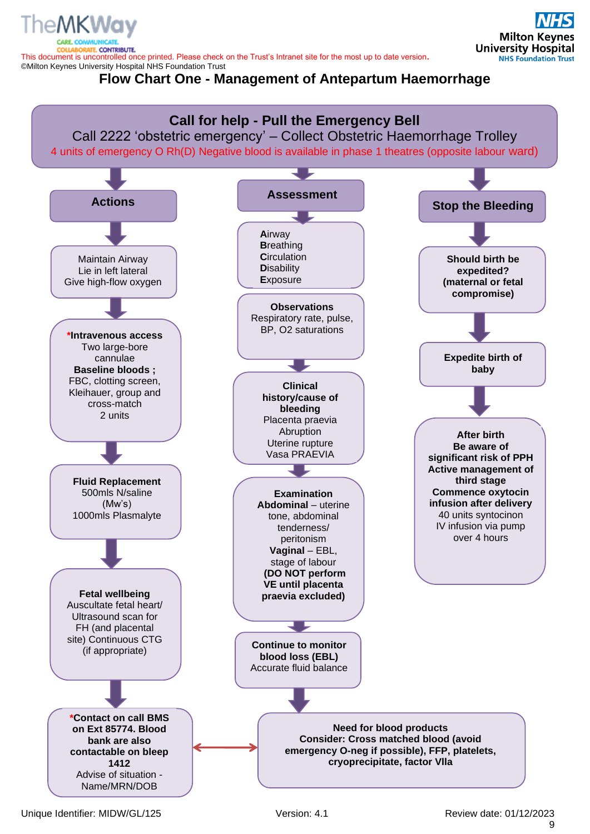TE. CONTRIBUTE. This document is uncontrolled once printed. Please check on the Trust's Intranet site for the most up to date version**.** ©Milton Keynes University Hospital NHS Foundation Trust

**Flow Chart One - Management of Antepartum Haemorrhage**



**Milton Keynes University Hospital** 

**NHS Foundation Trust**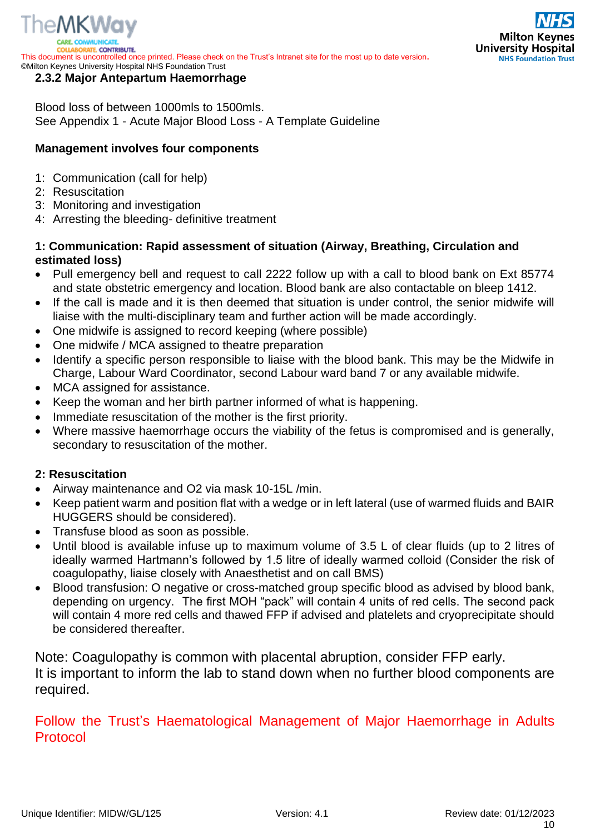

**RATE CONTRIBUTE.** This document is uncontrolled once printed. Please check on the Trust's Intranet site for the most up to date version**.** ©Milton Keynes University Hospital NHS Foundation Trust

# Milton Key **University Hospital NHS Foundation Trust**

#### <span id="page-9-0"></span>**2.3.2 Major Antepartum Haemorrhage**

Blood loss of between 1000mls to 1500mls. See Appendix 1 - Acute Major Blood Loss - A Template Guideline

#### **Management involves four components**

- 1: Communication (call for help)
- 2: Resuscitation
- 3: Monitoring and investigation
- 4: Arresting the bleeding- definitive treatment

#### **1: Communication: Rapid assessment of situation (Airway, Breathing, Circulation and estimated loss)**

- Pull emergency bell and request to call 2222 follow up with a call to blood bank on Ext 85774 and state obstetric emergency and location. Blood bank are also contactable on bleep 1412.
- If the call is made and it is then deemed that situation is under control, the senior midwife will liaise with the multi-disciplinary team and further action will be made accordingly.
- One midwife is assigned to record keeping (where possible)
- One midwife / MCA assigned to theatre preparation
- Identify a specific person responsible to liaise with the blood bank. This may be the Midwife in Charge, Labour Ward Coordinator, second Labour ward band 7 or any available midwife.
- MCA assigned for assistance.
- Keep the woman and her birth partner informed of what is happening.
- Immediate resuscitation of the mother is the first priority.
- Where massive haemorrhage occurs the viability of the fetus is compromised and is generally, secondary to resuscitation of the mother.

#### **2: Resuscitation**

- Airway maintenance and O2 via mask 10-15L /min.
- Keep patient warm and position flat with a wedge or in left lateral (use of warmed fluids and BAIR HUGGERS should be considered).
- Transfuse blood as soon as possible.
- Until blood is available infuse up to maximum volume of 3.5 L of clear fluids (up to 2 litres of ideally warmed Hartmann's followed by 1.5 litre of ideally warmed colloid (Consider the risk of coagulopathy, liaise closely with Anaesthetist and on call BMS)
- Blood transfusion: O negative or cross-matched group specific blood as advised by blood bank, depending on urgency. The first MOH "pack" will contain 4 units of red cells. The second pack will contain 4 more red cells and thawed FFP if advised and platelets and cryoprecipitate should be considered thereafter.

Note: Coagulopathy is common with placental abruption, consider FFP early. It is important to inform the lab to stand down when no further blood components are required.

# Follow the Trust's Haematological Management of Major Haemorrhage in Adults Protocol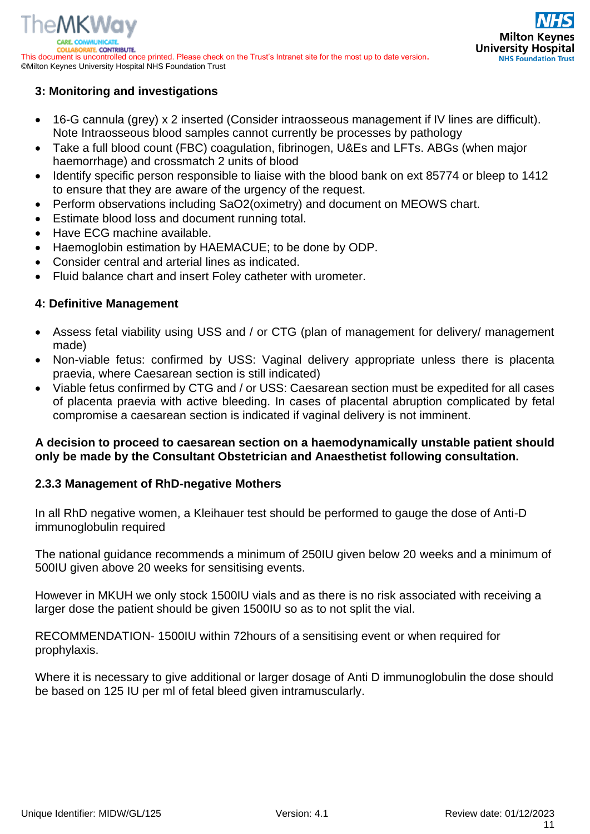

#### **3: Monitoring and investigations**

- 16-G cannula (grey) x 2 inserted (Consider intraosseous management if IV lines are difficult). Note Intraosseous blood samples cannot currently be processes by pathology
- Take a full blood count (FBC) coagulation, fibrinogen, U&Es and LFTs. ABGs (when major haemorrhage) and crossmatch 2 units of blood
- Identify specific person responsible to liaise with the blood bank on ext 85774 or bleep to 1412 to ensure that they are aware of the urgency of the request.
- Perform observations including SaO2(oximetry) and document on MEOWS chart.
- Estimate blood loss and document running total.
- Have ECG machine available.
- Haemoglobin estimation by HAEMACUE; to be done by ODP.
- Consider central and arterial lines as indicated.
- Fluid balance chart and insert Foley catheter with urometer.

#### **4: Definitive Management**

- Assess fetal viability using USS and / or CTG (plan of management for delivery/ management made)
- Non-viable fetus: confirmed by USS: Vaginal delivery appropriate unless there is placenta praevia, where Caesarean section is still indicated)
- Viable fetus confirmed by CTG and / or USS: Caesarean section must be expedited for all cases of placenta praevia with active bleeding. In cases of placental abruption complicated by fetal compromise a caesarean section is indicated if vaginal delivery is not imminent.

#### **A decision to proceed to caesarean section on a haemodynamically unstable patient should only be made by the Consultant Obstetrician and Anaesthetist following consultation.**

#### <span id="page-10-0"></span>**2.3.3 Management of RhD-negative Mothers**

In all RhD negative women, a Kleihauer test should be performed to gauge the dose of Anti-D immunoglobulin required

The national guidance recommends a minimum of 250IU given below 20 weeks and a minimum of 500IU given above 20 weeks for sensitising events.

However in MKUH we only stock 1500IU vials and as there is no risk associated with receiving a larger dose the patient should be given 1500IU so as to not split the vial.

RECOMMENDATION- 1500IU within 72hours of a sensitising event or when required for prophylaxis.

Where it is necessary to give additional or larger dosage of Anti D immunoglobulin the dose should be based on 125 IU per ml of fetal bleed given intramuscularly.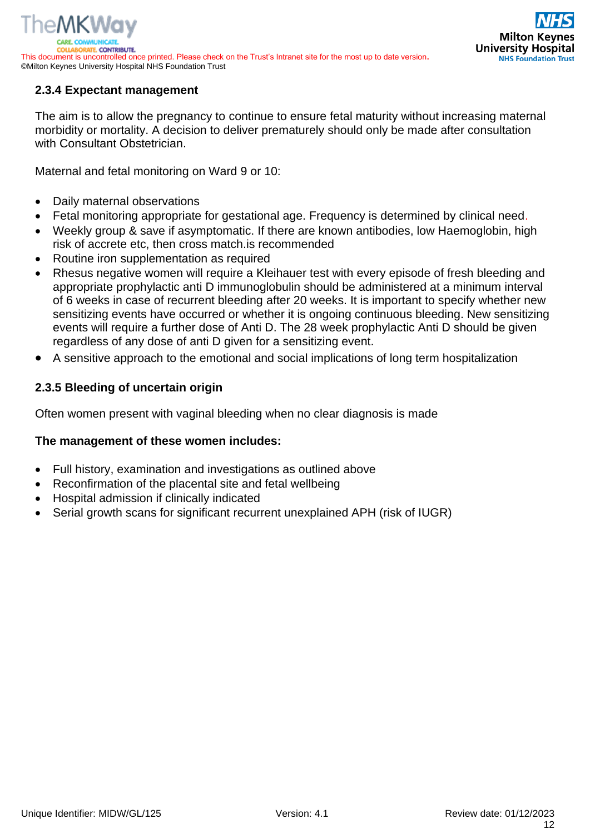### <span id="page-11-0"></span>**2.3.4 Expectant management**

The aim is to allow the pregnancy to continue to ensure fetal maturity without increasing maternal morbidity or mortality. A decision to deliver prematurely should only be made after consultation with Consultant Obstetrician.

Maternal and fetal monitoring on Ward 9 or 10:

- Daily maternal observations
- Fetal monitoring appropriate for gestational age. Frequency is determined by clinical need.
- Weekly group & save if asymptomatic. If there are known antibodies, low Haemoglobin, high risk of accrete etc, then cross match.is recommended
- Routine iron supplementation as required
- Rhesus negative women will require a Kleihauer test with every episode of fresh bleeding and appropriate prophylactic anti D immunoglobulin should be administered at a minimum interval of 6 weeks in case of recurrent bleeding after 20 weeks. It is important to specify whether new sensitizing events have occurred or whether it is ongoing continuous bleeding. New sensitizing events will require a further dose of Anti D. The 28 week prophylactic Anti D should be given regardless of any dose of anti D given for a sensitizing event.
- A sensitive approach to the emotional and social implications of long term hospitalization

#### <span id="page-11-1"></span>**2.3.5 Bleeding of uncertain origin**

Often women present with vaginal bleeding when no clear diagnosis is made

#### **The management of these women includes:**

- Full history, examination and investigations as outlined above
- Reconfirmation of the placental site and fetal wellbeing
- Hospital admission if clinically indicated
- Serial growth scans for significant recurrent unexplained APH (risk of IUGR)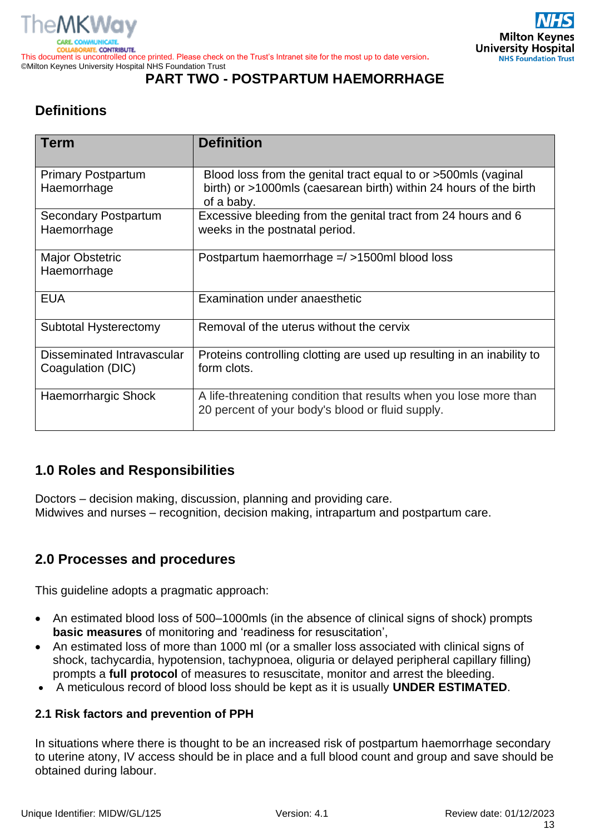

#### <span id="page-12-0"></span>©Milton Keynes University Hospital NHS Foundation Trust **PART TWO - POSTPARTUM HAEMORRHAGE**

# <span id="page-12-1"></span>**Definitions**

| <b>Term</b>                                     | <b>Definition</b>                                                                                                                                 |
|-------------------------------------------------|---------------------------------------------------------------------------------------------------------------------------------------------------|
| <b>Primary Postpartum</b><br>Haemorrhage        | Blood loss from the genital tract equal to or >500mls (vaginal<br>birth) or >1000mls (caesarean birth) within 24 hours of the birth<br>of a baby. |
| <b>Secondary Postpartum</b><br>Haemorrhage      | Excessive bleeding from the genital tract from 24 hours and 6<br>weeks in the postnatal period.                                                   |
| <b>Major Obstetric</b><br>Haemorrhage           | Postpartum haemorrhage =/ >1500ml blood loss                                                                                                      |
| <b>EUA</b>                                      | Examination under anaesthetic                                                                                                                     |
| Subtotal Hysterectomy                           | Removal of the uterus without the cervix                                                                                                          |
| Disseminated Intravascular<br>Coagulation (DIC) | Proteins controlling clotting are used up resulting in an inability to<br>form clots.                                                             |
| <b>Haemorrhargic Shock</b>                      | A life-threatening condition that results when you lose more than<br>20 percent of your body's blood or fluid supply.                             |

# <span id="page-12-2"></span>**1.0 Roles and Responsibilities**

Doctors – decision making, discussion, planning and providing care. Midwives and nurses – recognition, decision making, intrapartum and postpartum care.

# <span id="page-12-3"></span>**2.0 Processes and procedures**

This guideline adopts a pragmatic approach:

- An estimated blood loss of 500–1000mls (in the absence of clinical signs of shock) prompts **basic measures** of monitoring and 'readiness for resuscitation',
- An estimated loss of more than 1000 ml (or a smaller loss associated with clinical signs of shock, tachycardia, hypotension, tachypnoea, oliguria or delayed peripheral capillary filling) prompts a **full protocol** of measures to resuscitate, monitor and arrest the bleeding.
- A meticulous record of blood loss should be kept as it is usually **UNDER ESTIMATED**.

#### <span id="page-12-4"></span>**2.1 Risk factors and prevention of PPH**

In situations where there is thought to be an increased risk of postpartum haemorrhage secondary to uterine atony, IV access should be in place and a full blood count and group and save should be obtained during labour.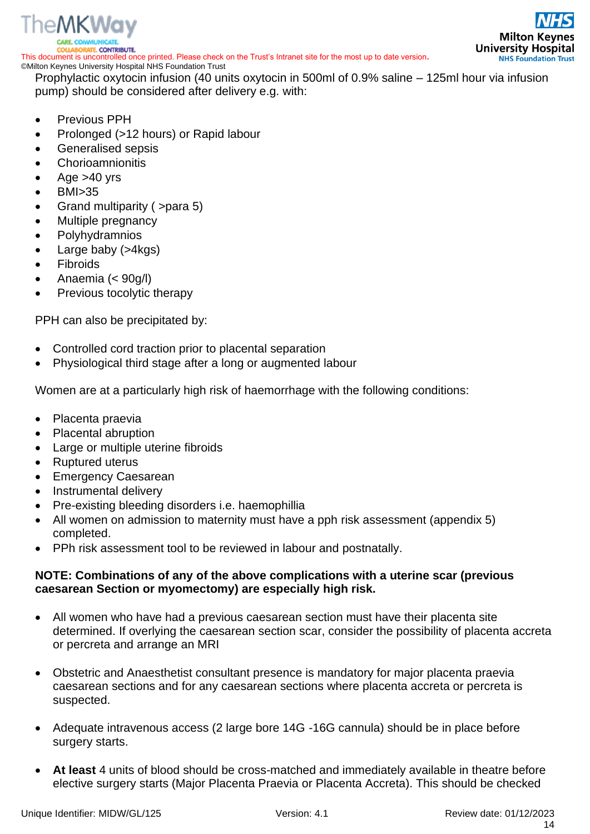

©Milton Keynes University Hospital NHS Foundation Trust Prophylactic oxytocin infusion (40 units oxytocin in 500ml of 0.9% saline – 125ml hour via infusion pump) should be considered after delivery e.g. with:

- Previous PPH
- Prolonged (>12 hours) or Rapid labour
- Generalised sepsis
- **Chorioamnionitis**
- Age  $>40$  yrs
- BMI>35
- Grand multiparity ( >para 5)
- Multiple pregnancy
- **Polyhydramnios**
- Large baby (>4kgs)
- **Fibroids**
- Anaemia (< 90g/l)
- Previous tocolytic therapy

PPH can also be precipitated by:

- Controlled cord traction prior to placental separation
- Physiological third stage after a long or augmented labour

Women are at a particularly high risk of haemorrhage with the following conditions:

- Placenta praevia
- Placental abruption
- Large or multiple uterine fibroids
- Ruptured uterus
- Emergency Caesarean
- Instrumental delivery
- Pre-existing bleeding disorders i.e. haemophillia
- All women on admission to maternity must have a pph risk assessment (appendix 5) completed.
- PPh risk assessment tool to be reviewed in labour and postnatally.

#### **NOTE: Combinations of any of the above complications with a uterine scar (previous caesarean Section or myomectomy) are especially high risk.**

- All women who have had a previous caesarean section must have their placenta site determined. If overlying the caesarean section scar, consider the possibility of placenta accreta or percreta and arrange an MRI
- Obstetric and Anaesthetist consultant presence is mandatory for major placenta praevia caesarean sections and for any caesarean sections where placenta accreta or percreta is suspected.
- Adequate intravenous access (2 large bore 14G -16G cannula) should be in place before surgery starts.
- **At least** 4 units of blood should be cross-matched and immediately available in theatre before elective surgery starts (Major Placenta Praevia or Placenta Accreta). This should be checked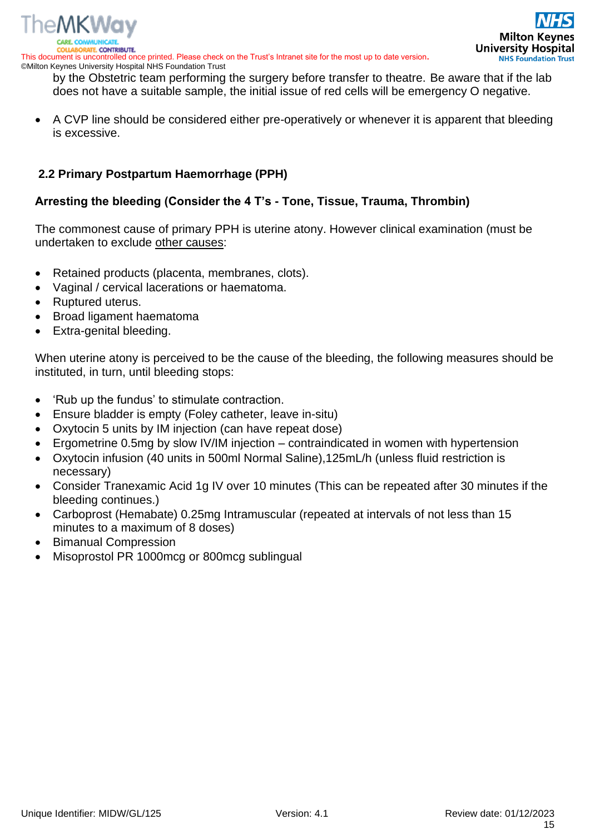

This document is uncontrolled once printed. Please check on the Trust's Intranet site for the most up to date version**.** ©Milton Keynes University Hospital NHS Foundation Trust

by the Obstetric team performing the surgery before transfer to theatre. Be aware that if the lab does not have a suitable sample, the initial issue of red cells will be emergency O negative.

• A CVP line should be considered either pre-operatively or whenever it is apparent that bleeding is excessive.

#### <span id="page-14-0"></span>**2.2 Primary Postpartum Haemorrhage (PPH)**

#### **Arresting the bleeding (Consider the 4 T's - Tone, Tissue, Trauma, Thrombin)**

The commonest cause of primary PPH is uterine atony. However clinical examination (must be undertaken to exclude other causes:

- Retained products (placenta, membranes, clots).
- Vaginal / cervical lacerations or haematoma.
- Ruptured uterus.
- Broad ligament haematoma
- Extra-genital bleeding.

When uterine atony is perceived to be the cause of the bleeding, the following measures should be instituted, in turn, until bleeding stops:

- 'Rub up the fundus' to stimulate contraction.
- Ensure bladder is empty (Foley catheter, leave in-situ)
- Oxytocin 5 units by IM injection (can have repeat dose)
- Ergometrine 0.5mg by slow IV/IM injection contraindicated in women with hypertension
- Oxytocin infusion (40 units in 500ml Normal Saline),125mL/h (unless fluid restriction is necessary)
- Consider Tranexamic Acid 1g IV over 10 minutes (This can be repeated after 30 minutes if the bleeding continues.)
- Carboprost (Hemabate) 0.25mg Intramuscular (repeated at intervals of not less than 15 minutes to a maximum of 8 doses)
- Bimanual Compression
- Misoprostol PR 1000mcg or 800mcg sublingual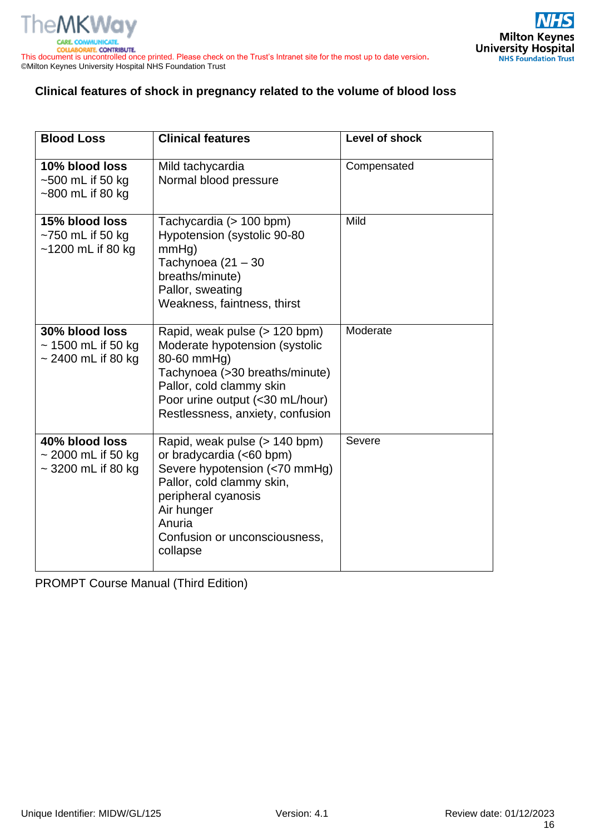

#### **Clinical features of shock in pregnancy related to the volume of blood loss**

| <b>Blood Loss</b>                                                    | <b>Clinical features</b>                                                                                                                                                                                            | <b>Level of shock</b> |
|----------------------------------------------------------------------|---------------------------------------------------------------------------------------------------------------------------------------------------------------------------------------------------------------------|-----------------------|
| 10% blood loss<br>$~500$ mL if 50 kg<br>~800 mL if 80 kg             | Mild tachycardia<br>Normal blood pressure                                                                                                                                                                           | Compensated           |
| 15% blood loss<br>$~1$ 750 mL if 50 kg<br>$~1200$ mL if 80 kg        | Tachycardia (> 100 bpm)<br>Hypotension (systolic 90-80<br>$mmHq$ )<br>Tachynoea $(21 - 30)$<br>breaths/minute)<br>Pallor, sweating<br>Weakness, faintness, thirst                                                   | Mild                  |
| 30% blood loss<br>$\sim$ 1500 mL if 50 kg<br>$\sim$ 2400 mL if 80 kg | Rapid, weak pulse (> 120 bpm)<br>Moderate hypotension (systolic<br>80-60 mmHg)<br>Tachynoea (>30 breaths/minute)<br>Pallor, cold clammy skin<br>Poor urine output (<30 mL/hour)<br>Restlessness, anxiety, confusion | Moderate              |
| 40% blood loss<br>$\sim$ 2000 mL if 50 kg<br>$\sim$ 3200 mL if 80 kg | Rapid, weak pulse (> 140 bpm)<br>or bradycardia (<60 bpm)<br>Severe hypotension (<70 mmHg)<br>Pallor, cold clammy skin,<br>peripheral cyanosis<br>Air hunger<br>Anuria<br>Confusion or unconsciousness,<br>collapse | Severe                |

PROMPT Course Manual (Third Edition)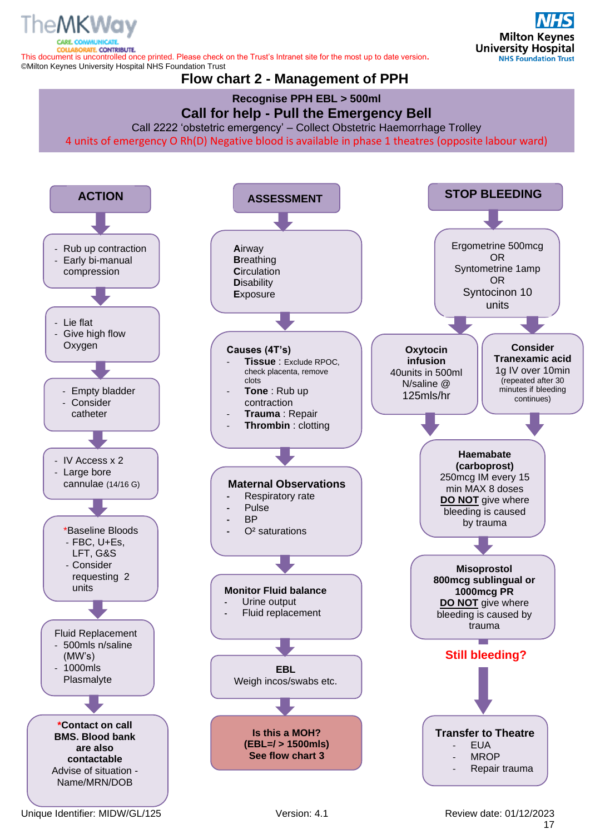<span id="page-16-0"></span>**ATE, CONTRIBUTE.** This document is uncontrolled once printed. Please check on the Trust's Intranet site for the most up to date version**.** ©Milton Keynes University Hospital NHS Foundation Trust

# **Flow chart 2 - Management of PPH**

# **Recognise PPH EBL > 500ml**



Call 2222 'obstetric emergency' – Collect Obstetric Haemorrhage Trolley

4 units of emergency O Rh(D) Negative blood is available in phase 1 theatres (opposite labour ward)

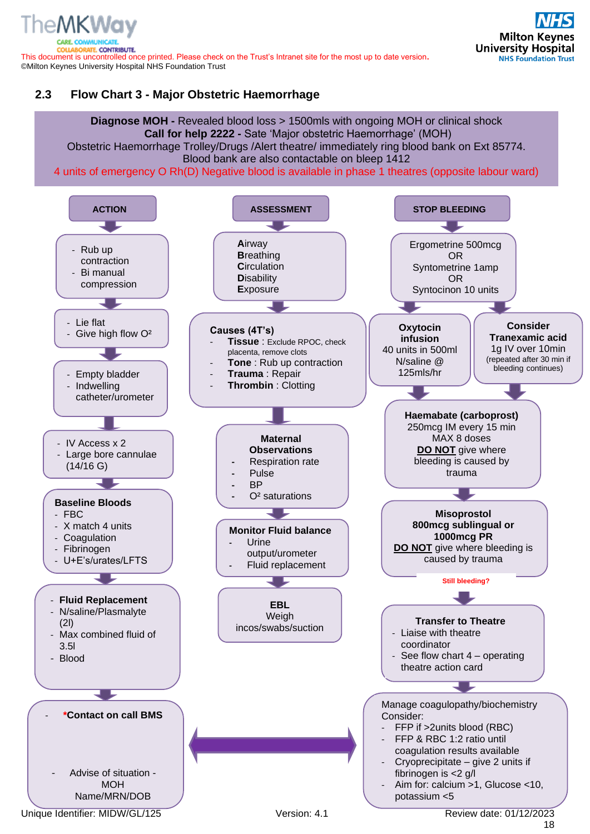TE. CONTRIBUTE. This document is uncontrolled once printed. Please check on the Trust's Intranet site for the most up to date version**.** ©Milton Keynes University Hospital NHS Foundation Trust

### <span id="page-17-0"></span>**2.3 Flow Chart 3 - Major Obstetric Haemorrhage**

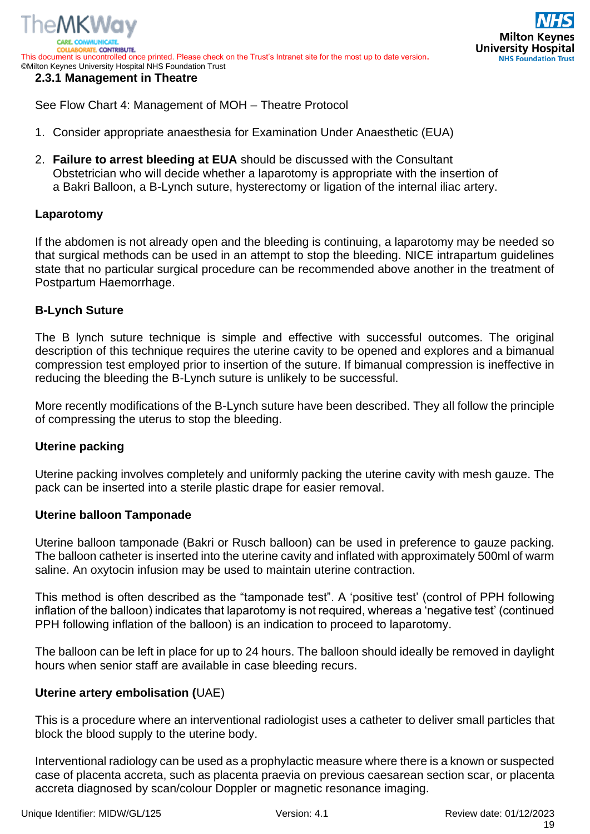

<span id="page-18-0"></span>See Flow Chart 4: Management of MOH – Theatre Protocol

- 1. Consider appropriate anaesthesia for Examination Under Anaesthetic (EUA)
- 2. **Failure to arrest bleeding at EUA** should be discussed with the Consultant Obstetrician who will decide whether a laparotomy is appropriate with the insertion of a Bakri Balloon, a B-Lynch suture, hysterectomy or ligation of the internal iliac artery.

#### **Laparotomy**

If the abdomen is not already open and the bleeding is continuing, a laparotomy may be needed so that surgical methods can be used in an attempt to stop the bleeding. NICE intrapartum guidelines state that no particular surgical procedure can be recommended above another in the treatment of Postpartum Haemorrhage.

#### **B-Lynch Suture**

The B lynch suture technique is simple and effective with successful outcomes. The original description of this technique requires the uterine cavity to be opened and explores and a bimanual compression test employed prior to insertion of the suture. If bimanual compression is ineffective in reducing the bleeding the B-Lynch suture is unlikely to be successful.

More recently modifications of the B-Lynch suture have been described. They all follow the principle of compressing the uterus to stop the bleeding.

#### **Uterine packing**

Uterine packing involves completely and uniformly packing the uterine cavity with mesh gauze. The pack can be inserted into a sterile plastic drape for easier removal.

#### **Uterine balloon Tamponade**

Uterine balloon tamponade (Bakri or Rusch balloon) can be used in preference to gauze packing. The balloon catheter is inserted into the uterine cavity and inflated with approximately 500ml of warm saline. An oxytocin infusion may be used to maintain uterine contraction.

This method is often described as the "tamponade test". A 'positive test' (control of PPH following inflation of the balloon) indicates that laparotomy is not required, whereas a 'negative test' (continued PPH following inflation of the balloon) is an indication to proceed to laparotomy.

The balloon can be left in place for up to 24 hours. The balloon should ideally be removed in daylight hours when senior staff are available in case bleeding recurs.

#### **Uterine artery embolisation (**UAE)

This is a procedure where an interventional radiologist uses a catheter to deliver small particles that block the blood supply to the uterine body.

Interventional radiology can be used as a prophylactic measure where there is a known or suspected case of placenta accreta, such as placenta praevia on previous caesarean section scar, or placenta accreta diagnosed by scan/colour Doppler or magnetic resonance imaging.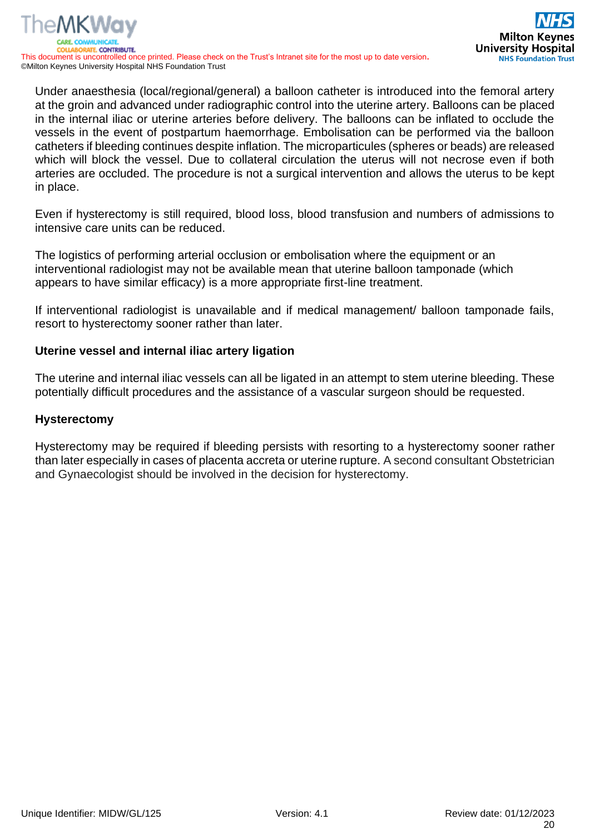Under anaesthesia (local/regional/general) a balloon catheter is introduced into the femoral artery at the groin and advanced under radiographic control into the uterine artery. Balloons can be placed in the internal iliac or uterine arteries before delivery. The balloons can be inflated to occlude the vessels in the event of postpartum haemorrhage. Embolisation can be performed via the balloon catheters if bleeding continues despite inflation. The microparticules (spheres or beads) are released which will block the vessel. Due to collateral circulation the uterus will not necrose even if both arteries are occluded. The procedure is not a surgical intervention and allows the uterus to be kept in place.

Even if hysterectomy is still required, blood loss, blood transfusion and numbers of admissions to intensive care units can be reduced.

The logistics of performing arterial occlusion or embolisation where the equipment or an interventional radiologist may not be available mean that uterine balloon tamponade (which appears to have similar efficacy) is a more appropriate first-line treatment.

If interventional radiologist is unavailable and if medical management/ balloon tamponade fails, resort to hysterectomy sooner rather than later.

#### **Uterine vessel and internal iliac artery ligation**

The uterine and internal iliac vessels can all be ligated in an attempt to stem uterine bleeding. These potentially difficult procedures and the assistance of a vascular surgeon should be requested.

#### **Hysterectomy**

Hysterectomy may be required if bleeding persists with resorting to a hysterectomy sooner rather than later especially in cases of placenta accreta or uterine rupture. A second consultant Obstetrician and Gynaecologist should be involved in the decision for hysterectomy.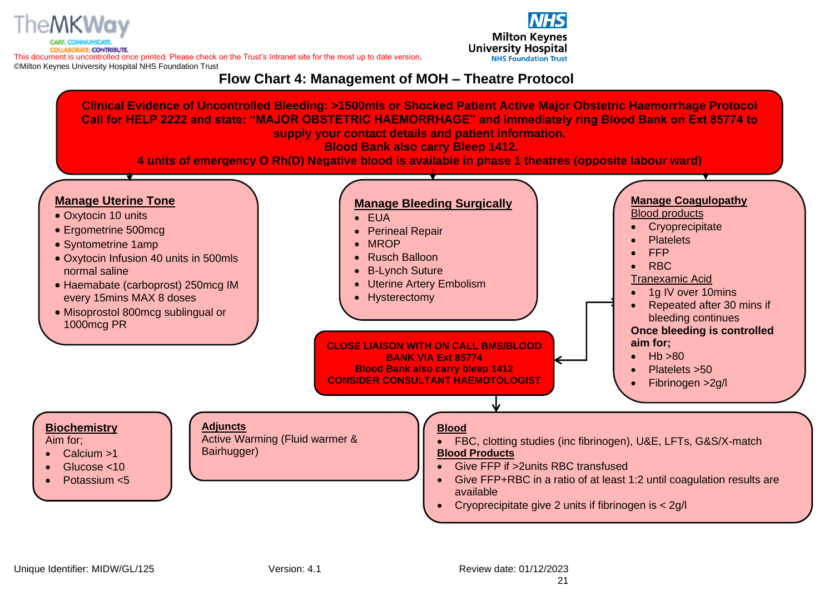

This document is uncontrolled once printed. Please check on the Trust's Intranet site for the most up to date version**.** ©Milton Keynes University Hospital NHS Foundation Trust



**Flow Chart 4: Management of MOH – Theatre Protocol**

<span id="page-20-0"></span>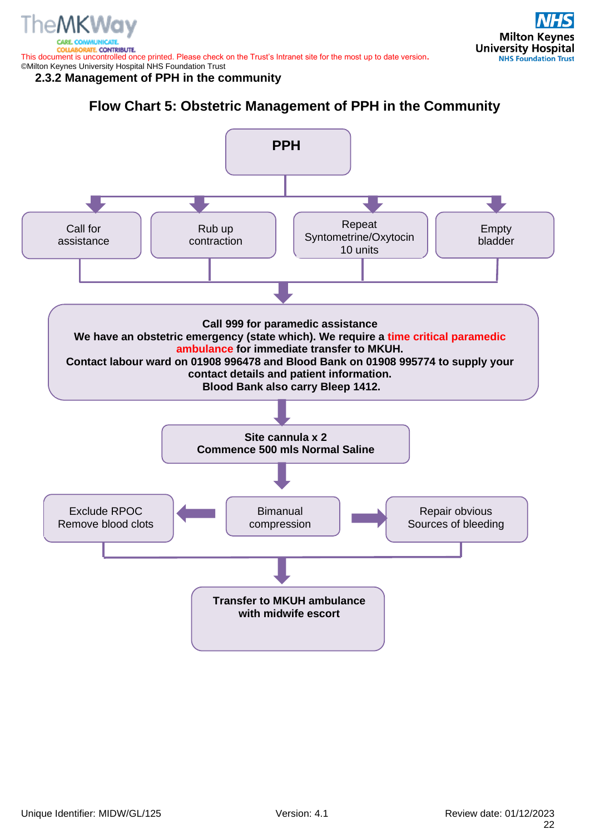**TE. CONTRIBUTE.** This document is uncontrolled once printed. Please check on the Trust's Intranet site for the most up to date version**.** ©Milton Keynes University Hospital NHS Foundation Trust

<span id="page-21-0"></span>**2.3.2 Management of PPH in the community** 

**Flow Chart 5: Obstetric Management of PPH in the Community**

<span id="page-21-1"></span>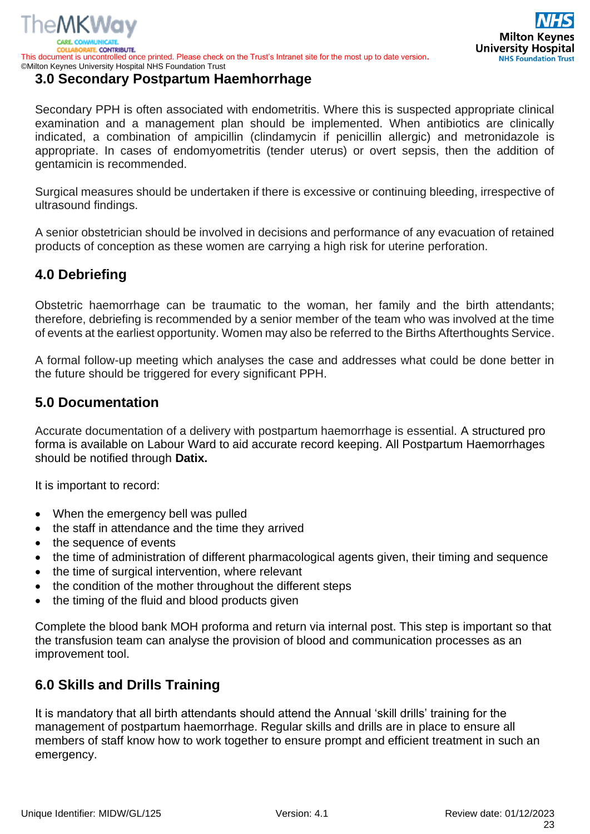

# <span id="page-22-0"></span>**3.0 Secondary Postpartum Haemhorrhage**

Secondary PPH is often associated with endometritis. Where this is suspected appropriate clinical examination and a management plan should be implemented. When antibiotics are clinically indicated, a combination of ampicillin (clindamycin if penicillin allergic) and metronidazole is appropriate. In cases of endomyometritis (tender uterus) or overt sepsis, then the addition of gentamicin is recommended.

Surgical measures should be undertaken if there is excessive or continuing bleeding, irrespective of ultrasound findings.

A senior obstetrician should be involved in decisions and performance of any evacuation of retained products of conception as these women are carrying a high risk for uterine perforation.

# <span id="page-22-1"></span>**4.0 Debriefing**

Obstetric haemorrhage can be traumatic to the woman, her family and the birth attendants; therefore, debriefing is recommended by a senior member of the team who was involved at the time of events at the earliest opportunity. Women may also be referred to the Births Afterthoughts Service.

A formal follow-up meeting which analyses the case and addresses what could be done better in the future should be triggered for every significant PPH.

# <span id="page-22-2"></span>**5.0 Documentation**

Accurate documentation of a delivery with postpartum haemorrhage is essential. A structured pro forma is available on Labour Ward to aid accurate record keeping. All Postpartum Haemorrhages should be notified through **Datix.**

It is important to record:

- When the emergency bell was pulled
- the staff in attendance and the time they arrived
- the sequence of events
- the time of administration of different pharmacological agents given, their timing and sequence
- the time of surgical intervention, where relevant
- the condition of the mother throughout the different steps
- the timing of the fluid and blood products given

Complete the blood bank MOH proforma and return via internal post. This step is important so that the transfusion team can analyse the provision of blood and communication processes as an improvement tool.

# <span id="page-22-3"></span>**6.0 Skills and Drills Training**

It is mandatory that all birth attendants should attend the Annual 'skill drills' training for the management of postpartum haemorrhage. Regular skills and drills are in place to ensure all members of staff know how to work together to ensure prompt and efficient treatment in such an emergency.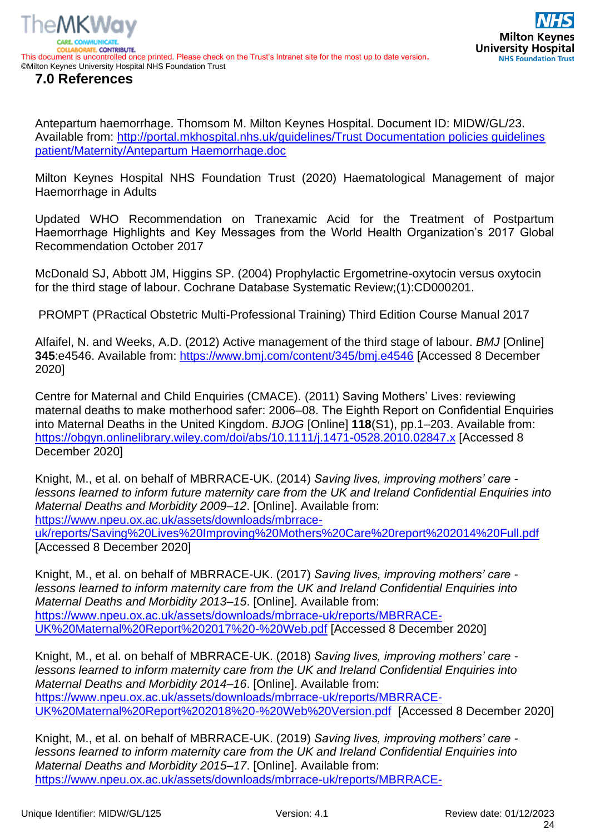

<span id="page-23-0"></span>Antepartum haemorrhage. Thomsom M. Milton Keynes Hospital. Document ID: MIDW/GL/23. Available from: [http://portal.mkhospital.nhs.uk/guidelines/Trust Documentation policies guidelines](http://portal.mkhospital.nhs.uk/guidelines/Trust%20Documentation%20policies%20guidelines%20patient/Maternity/Antepartum%20Haemorrhage.doc)  [patient/Maternity/Antepartum Haemorrhage.doc](http://portal.mkhospital.nhs.uk/guidelines/Trust%20Documentation%20policies%20guidelines%20patient/Maternity/Antepartum%20Haemorrhage.doc)

Milton Keynes Hospital NHS Foundation Trust (2020) Haematological Management of major Haemorrhage in Adults

Updated WHO Recommendation on Tranexamic Acid for the Treatment of Postpartum Haemorrhage Highlights and Key Messages from the World Health Organization's 2017 Global Recommendation October 2017

McDonald SJ, Abbott JM, Higgins SP. (2004) Prophylactic Ergometrine-oxytocin versus oxytocin for the third stage of labour. Cochrane Database Systematic Review;(1):CD000201.

PROMPT (PRactical Obstetric Multi-Professional Training) Third Edition Course Manual 2017

Alfaifel, N. and Weeks, A.D. (2012) Active management of the third stage of labour. *BMJ* [Online] **345**:e4546. Available from:<https://www.bmj.com/content/345/bmj.e4546> [Accessed 8 December 2020]

Centre for Maternal and Child Enquiries (CMACE). (2011) Saving Mothers' Lives: reviewing maternal deaths to make motherhood safer: 2006–08. The Eighth Report on Confidential Enquiries into Maternal Deaths in the United Kingdom. *BJOG* [Online] **118**(S1), pp.1–203. Available from: <https://obgyn.onlinelibrary.wiley.com/doi/abs/10.1111/j.1471-0528.2010.02847.x> [Accessed 8 December 2020]

Knight, M., et al. on behalf of MBRRACE-UK. (2014) *Saving lives, improving mothers' care lessons learned to inform future maternity care from the UK and Ireland Confidential Enquiries into Maternal Deaths and Morbidity 2009–12*. [Online]. Available from:

[https://www.npeu.ox.ac.uk/assets/downloads/mbrrace-](https://www.npeu.ox.ac.uk/assets/downloads/mbrrace-uk/reports/Saving%20Lives%20Improving%20Mothers%20Care%20report%202014%20Full.pdf)

[uk/reports/Saving%20Lives%20Improving%20Mothers%20Care%20report%202014%20Full.pdf](https://www.npeu.ox.ac.uk/assets/downloads/mbrrace-uk/reports/Saving%20Lives%20Improving%20Mothers%20Care%20report%202014%20Full.pdf) [Accessed 8 December 2020]

Knight, M., et al. on behalf of MBRRACE-UK. (2017) *Saving lives, improving mothers' care lessons learned to inform maternity care from the UK and Ireland Confidential Enquiries into Maternal Deaths and Morbidity 2013–15*. [Online]. Available from: [https://www.npeu.ox.ac.uk/assets/downloads/mbrrace-uk/reports/MBRRACE-](https://www.npeu.ox.ac.uk/assets/downloads/mbrrace-uk/reports/MBRRACE-UK%20Maternal%20Report%202017%20-%20Web.pdf)[UK%20Maternal%20Report%202017%20-%20Web.pdf](https://www.npeu.ox.ac.uk/assets/downloads/mbrrace-uk/reports/MBRRACE-UK%20Maternal%20Report%202017%20-%20Web.pdf) [Accessed 8 December 2020]

Knight, M., et al. on behalf of MBRRACE-UK. (2018) *Saving lives, improving mothers' care lessons learned to inform maternity care from the UK and Ireland Confidential Enquiries into Maternal Deaths and Morbidity 2014–16*. [Online]. Available from: [https://www.npeu.ox.ac.uk/assets/downloads/mbrrace-uk/reports/MBRRACE-](https://www.npeu.ox.ac.uk/assets/downloads/mbrrace-uk/reports/MBRRACE-UK%20Maternal%20Report%202018%20-%20Web%20Version.pdf)[UK%20Maternal%20Report%202018%20-%20Web%20Version.pdf](https://www.npeu.ox.ac.uk/assets/downloads/mbrrace-uk/reports/MBRRACE-UK%20Maternal%20Report%202018%20-%20Web%20Version.pdf) [Accessed 8 December 2020]

Knight, M., et al. on behalf of MBRRACE-UK. (2019) *Saving lives, improving mothers' care lessons learned to inform maternity care from the UK and Ireland Confidential Enquiries into Maternal Deaths and Morbidity 2015–17*. [Online]. Available from: [https://www.npeu.ox.ac.uk/assets/downloads/mbrrace-uk/reports/MBRRACE-](https://www.npeu.ox.ac.uk/assets/downloads/mbrrace-uk/reports/MBRRACE-UK%20Maternal%20Report%202019%20-%20WEB%20VERSION.pdf)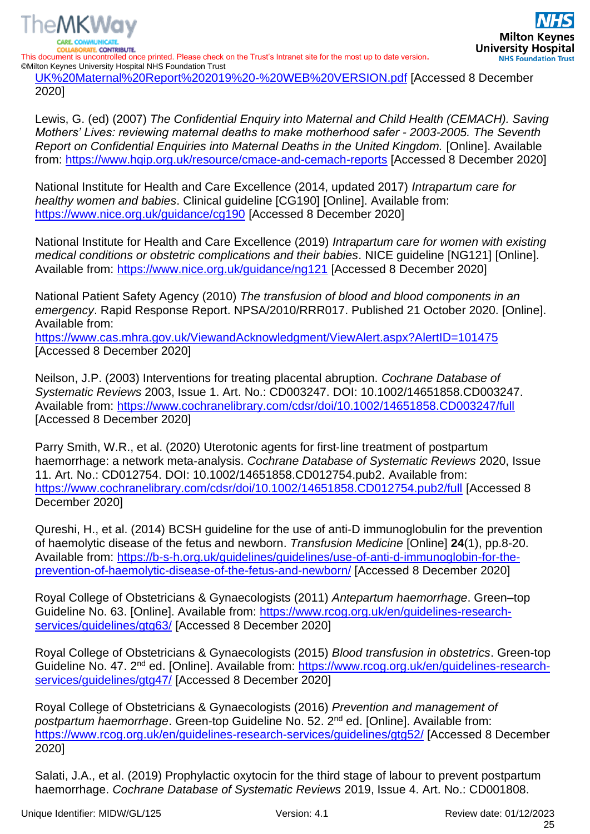

**RATE CONTRIBUTE.** This document is uncontrolled once printed. Please check on the Trust's Intranet site for the most up to date version**.** ©Milton Keynes University Hospital NHS Foundation Trust

[UK%20Maternal%20Report%202019%20-%20WEB%20VERSION.pdf](https://www.npeu.ox.ac.uk/assets/downloads/mbrrace-uk/reports/MBRRACE-UK%20Maternal%20Report%202019%20-%20WEB%20VERSION.pdf) [Accessed 8 December 2020]

Lewis, G. (ed) (2007) *The Confidential Enquiry into Maternal and Child Health (CEMACH). Saving Mothers' Lives: reviewing maternal deaths to make motherhood safer - 2003-2005. The Seventh Report on Confidential Enquiries into Maternal Deaths in the United Kingdom.* [Online]. Available from:<https://www.hqip.org.uk/resource/cmace-and-cemach-reports> [Accessed 8 December 2020]

National Institute for Health and Care Excellence (2014, updated 2017) *Intrapartum care for healthy women and babies*. Clinical guideline [CG190] [Online]. Available from: <https://www.nice.org.uk/guidance/cg190> [Accessed 8 December 2020]

National Institute for Health and Care Excellence (2019) *Intrapartum care for women with existing medical conditions or obstetric complications and their babies*. NICE guideline [NG121] [Online]. Available from:<https://www.nice.org.uk/guidance/ng121> [Accessed 8 December 2020]

National Patient Safety Agency (2010) *The transfusion of blood and blood components in an emergency*. Rapid Response Report. NPSA/2010/RRR017. Published 21 October 2020. [Online]. Available from:

<https://www.cas.mhra.gov.uk/ViewandAcknowledgment/ViewAlert.aspx?AlertID=101475> [Accessed 8 December 2020]

Neilson, J.P. (2003) Interventions for treating placental abruption. *Cochrane Database of Systematic Reviews* 2003, Issue 1. Art. No.: CD003247. DOI: 10.1002/14651858.CD003247. Available from:<https://www.cochranelibrary.com/cdsr/doi/10.1002/14651858.CD003247/full> [Accessed 8 December 2020]

Parry Smith, W.R., et al. (2020) Uterotonic agents for first‐line treatment of postpartum haemorrhage: a network meta‐analysis. *Cochrane Database of Systematic Reviews* 2020, Issue 11. Art. No.: CD012754. DOI: 10.1002/14651858.CD012754.pub2. Available from: <https://www.cochranelibrary.com/cdsr/doi/10.1002/14651858.CD012754.pub2/full> [Accessed 8 December 2020]

Qureshi, H., et al. (2014) BCSH guideline for the use of anti‐D immunoglobulin for the prevention of haemolytic disease of the fetus and newborn. *Transfusion Medicine* [Online] **24**(1), pp.8-20. Available from: [https://b-s-h.org.uk/guidelines/guidelines/use-of-anti-d-immunoglobin-for-the](https://b-s-h.org.uk/guidelines/guidelines/use-of-anti-d-immunoglobin-for-the-prevention-of-haemolytic-disease-of-the-fetus-and-newborn/)[prevention-of-haemolytic-disease-of-the-fetus-and-newborn/](https://b-s-h.org.uk/guidelines/guidelines/use-of-anti-d-immunoglobin-for-the-prevention-of-haemolytic-disease-of-the-fetus-and-newborn/) [Accessed 8 December 2020]

Royal College of Obstetricians & Gynaecologists (2011) *Antepartum haemorrhage*. Green–top Guideline No. 63. [Online]. Available from: [https://www.rcog.org.uk/en/guidelines-research](https://www.rcog.org.uk/en/guidelines-research-services/guidelines/gtg63/)[services/guidelines/gtg63/](https://www.rcog.org.uk/en/guidelines-research-services/guidelines/gtg63/) [Accessed 8 December 2020]

Royal College of Obstetricians & Gynaecologists (2015) *Blood transfusion in obstetrics*. Green-top Guideline No. 47. 2<sup>nd</sup> ed. [Online]. Available from: [https://www.rcog.org.uk/en/guidelines-research](https://www.rcog.org.uk/en/guidelines-research-services/guidelines/gtg47/)[services/guidelines/gtg47/](https://www.rcog.org.uk/en/guidelines-research-services/guidelines/gtg47/) [Accessed 8 December 2020]

Royal College of Obstetricians & Gynaecologists (2016) *Prevention and management of postpartum haemorrhage*. Green-top Guideline No. 52. 2nd ed. [Online]. Available from: <https://www.rcog.org.uk/en/guidelines-research-services/guidelines/gtg52/> [Accessed 8 December 2020]

Salati, J.A., et al. (2019) Prophylactic oxytocin for the third stage of labour to prevent postpartum haemorrhage. *Cochrane Database of Systematic Reviews* 2019, Issue 4. Art. No.: CD001808.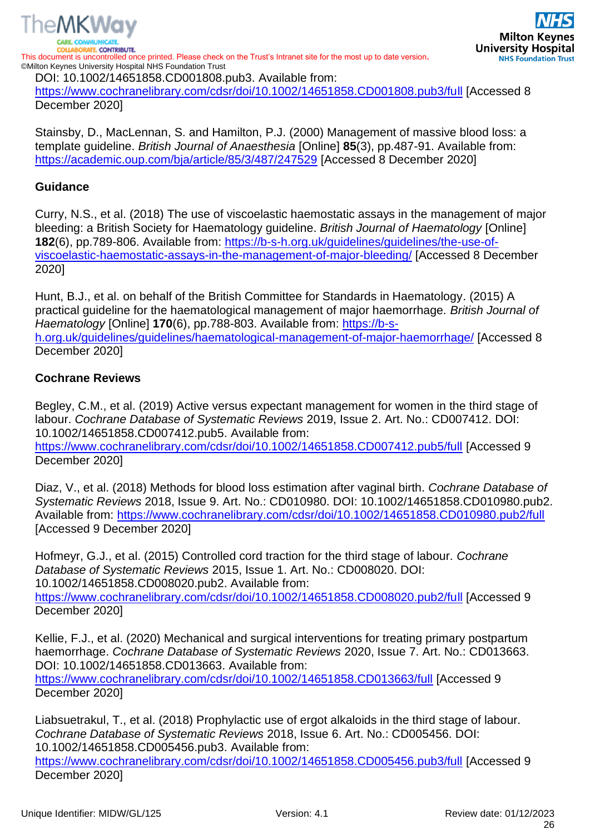

<https://www.cochranelibrary.com/cdsr/doi/10.1002/14651858.CD001808.pub3/full> [Accessed 8 December 2020]

Stainsby, D., MacLennan, S. and Hamilton, P.J. (2000) Management of massive blood loss: a template guideline. *British Journal of Anaesthesia* [Online] **85**(3), pp.487-91. Available from: <https://academic.oup.com/bja/article/85/3/487/247529> [Accessed 8 December 2020]

#### **Guidance**

Curry, N.S., et al. (2018) The use of viscoelastic haemostatic assays in the management of major bleeding: a British Society for Haematology guideline. *British Journal of Haematology* [Online] **182**(6), pp.789-806. Available from: [https://b-s-h.org.uk/guidelines/guidelines/the-use-of](https://b-s-h.org.uk/guidelines/guidelines/the-use-of-viscoelastic-haemostatic-assays-in-the-management-of-major-bleeding/)[viscoelastic-haemostatic-assays-in-the-management-of-major-bleeding/](https://b-s-h.org.uk/guidelines/guidelines/the-use-of-viscoelastic-haemostatic-assays-in-the-management-of-major-bleeding/) [Accessed 8 December 2020]

Hunt, B.J., et al. on behalf of the British Committee for Standards in Haematology. (2015) A practical guideline for the haematological management of major haemorrhage*. British Journal of Haematology* [Online] **170**(6), pp.788-803. Available from: [https://b-s](https://b-s-h.org.uk/guidelines/guidelines/haematological-management-of-major-haemorrhage/)[h.org.uk/guidelines/guidelines/haematological-management-of-major-haemorrhage/](https://b-s-h.org.uk/guidelines/guidelines/haematological-management-of-major-haemorrhage/) [Accessed 8 December 2020]

#### **Cochrane Reviews**

Begley, C.M., et al. (2019) Active versus expectant management for women in the third stage of labour. *Cochrane Database of Systematic Reviews* 2019, Issue 2. Art. No.: CD007412. DOI: 10.1002/14651858.CD007412.pub5. Available from: <https://www.cochranelibrary.com/cdsr/doi/10.1002/14651858.CD007412.pub5/full> [Accessed 9 December 2020]

Diaz, V., et al. (2018) Methods for blood loss estimation after vaginal birth. *Cochrane Database of Systematic Reviews* 2018, Issue 9. Art. No.: CD010980. DOI: 10.1002/14651858.CD010980.pub2. Available from:<https://www.cochranelibrary.com/cdsr/doi/10.1002/14651858.CD010980.pub2/full> [Accessed 9 December 2020]

Hofmeyr, G.J., et al. (2015) Controlled cord traction for the third stage of labour. *Cochrane Database of Systematic Reviews* 2015, Issue 1. Art. No.: CD008020. DOI: 10.1002/14651858.CD008020.pub2. Available from: <https://www.cochranelibrary.com/cdsr/doi/10.1002/14651858.CD008020.pub2/full> [Accessed 9 December 2020]

Kellie, F.J., et al. (2020) Mechanical and surgical interventions for treating primary postpartum haemorrhage. *Cochrane Database of Systematic Reviews* 2020, Issue 7. Art. No.: CD013663. DOI: 10.1002/14651858.CD013663. Available from:

<https://www.cochranelibrary.com/cdsr/doi/10.1002/14651858.CD013663/full> [Accessed 9 December 2020]

Liabsuetrakul, T., et al. (2018) Prophylactic use of ergot alkaloids in the third stage of labour. *Cochrane Database of Systematic Reviews* 2018, Issue 6. Art. No.: CD005456. DOI: 10.1002/14651858.CD005456.pub3. Available from: <https://www.cochranelibrary.com/cdsr/doi/10.1002/14651858.CD005456.pub3/full> [Accessed 9 December 2020]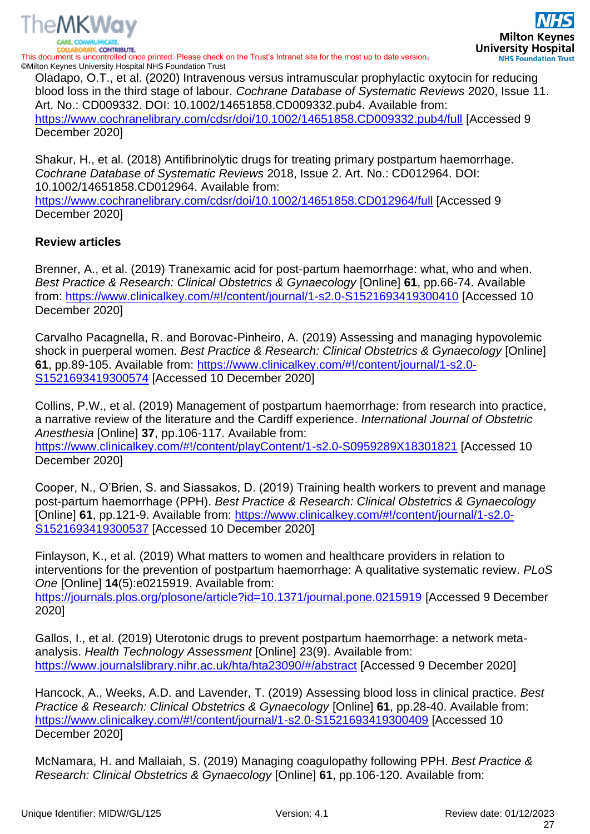

This document is uncontrolled once printed. Please check on the Trust's Intranet site for the most up to date version**.** ©Milton Keynes University Hospital NHS Foundation Trust

Oladapo, O.T., et al. (2020) Intravenous versus intramuscular prophylactic oxytocin for reducing blood loss in the third stage of labour. *Cochrane Database of Systematic Reviews* 2020, Issue 11. Art. No.: CD009332. DOI: 10.1002/14651858.CD009332.pub4. Available from: <https://www.cochranelibrary.com/cdsr/doi/10.1002/14651858.CD009332.pub4/full> [Accessed 9 December 2020]

Shakur, H., et al. (2018) Antifibrinolytic drugs for treating primary postpartum haemorrhage. *Cochrane Database of Systematic Reviews* 2018, Issue 2. Art. No.: CD012964. DOI: 10.1002/14651858.CD012964. Available from: <https://www.cochranelibrary.com/cdsr/doi/10.1002/14651858.CD012964/full> [Accessed 9 December 2020]

#### **Review articles**

Brenner, A., et al. (2019) Tranexamic acid for post-partum haemorrhage: what, who and when. *Best Practice & Research: Clinical Obstetrics & Gynaecology* [Online] **61**, pp.66-74. Available from:<https://www.clinicalkey.com/#!/content/journal/1-s2.0-S1521693419300410> [Accessed 10 December 2020]

Carvalho Pacagnella, R. and Borovac-Pinheiro, A. (2019) Assessing and managing hypovolemic shock in puerperal women. *Best Practice & Research: Clinical Obstetrics & Gynaecology* [Online] **61**, pp.89-105. Available from: [https://www.clinicalkey.com/#!/content/journal/1-s2.0-](https://www.clinicalkey.com/#!/content/journal/1-s2.0-S1521693419300574) [S1521693419300574](https://www.clinicalkey.com/#!/content/journal/1-s2.0-S1521693419300574) [Accessed 10 December 2020]

Collins, P.W., et al. (2019) Management of postpartum haemorrhage: from research into practice, a narrative review of the literature and the Cardiff experience. *International Journal of Obstetric Anesthesia* [Online] **37**, pp.106-117. Available from: <https://www.clinicalkey.com/#!/content/playContent/1-s2.0-S0959289X18301821></u> [Accessed 10 December 2020]

Cooper, N., O'Brien, S. and Siassakos, D. (2019) Training health workers to prevent and manage post-partum haemorrhage (PPH). *Best Practice & Research: Clinical Obstetrics & Gynaecology* [Online] **61**, pp.121-9. Available from: [https://www.clinicalkey.com/#!/content/journal/1-s2.0-](https://www.clinicalkey.com/#!/content/journal/1-s2.0-S1521693419300537) [S1521693419300537](https://www.clinicalkey.com/#!/content/journal/1-s2.0-S1521693419300537) [Accessed 10 December 2020]

Finlayson, K., et al. (2019) What matters to women and healthcare providers in relation to interventions for the prevention of postpartum haemorrhage: A qualitative systematic review. *PLoS One* [Online] **14**(5):e0215919. Available from:

<https://journals.plos.org/plosone/article?id=10.1371/journal.pone.0215919> [Accessed 9 December 2020]

Gallos, I., et al. (2019) Uterotonic drugs to prevent postpartum haemorrhage: a network metaanalysis. *Health Technology Assessment* [Online] 23(9). Available from: <https://www.journalslibrary.nihr.ac.uk/hta/hta23090/#/abstract> [Accessed 9 December 2020]

Hancock, A., Weeks, A.D. and Lavender, T. (2019) Assessing blood loss in clinical practice. *Best Practice & Research: Clinical Obstetrics & Gynaecology* [Online] **61**, pp.28-40. Available from: <https://www.clinicalkey.com/#!/content/journal/1-s2.0-S1521693419300409> [Accessed 10 December 2020]

McNamara, H. and Mallaiah, S. (2019) Managing coagulopathy following PPH. *Best Practice & Research: Clinical Obstetrics & Gynaecology* [Online] **61**, pp.106-120. Available from: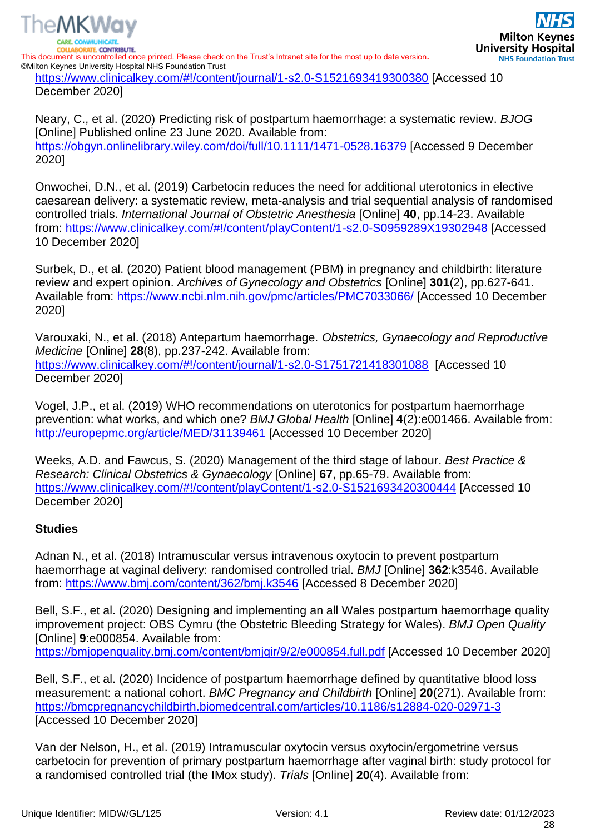

ATE CONTRIBUTE. This document is uncontrolled once printed. Please check on the Trust's Intranet site for the most up to date version**.** ©Milton Keynes University Hospital NHS Foundation Trust

<https://www.clinicalkey.com/#!/content/journal/1-s2.0-S1521693419300380> [Accessed 10 December 2020]

Neary, C., et al. (2020) Predicting risk of postpartum haemorrhage: a systematic review. *BJOG* [Online] Published online 23 June 2020. Available from: <https://obgyn.onlinelibrary.wiley.com/doi/full/10.1111/1471-0528.16379> [Accessed 9 December 2020]

Onwochei, D.N., et al. (2019) Carbetocin reduces the need for additional uterotonics in elective caesarean delivery: a systematic review, meta-analysis and trial sequential analysis of randomised controlled trials. *International Journal of Obstetric Anesthesia* [Online] **40**, pp.14-23. Available from:<https://www.clinicalkey.com/#!/content/playContent/1-s2.0-S0959289X19302948> [Accessed 10 December 2020]

Surbek, D., et al. (2020) Patient blood management (PBM) in pregnancy and childbirth: literature review and expert opinion. *Archives of Gynecology and Obstetrics* [Online] **301**(2), pp.627-641. Available from:<https://www.ncbi.nlm.nih.gov/pmc/articles/PMC7033066/> [Accessed 10 December 2020]

Varouxaki, N., et al. (2018) Antepartum haemorrhage. *Obstetrics, Gynaecology and Reproductive Medicine* [Online] **28**(8), pp.237-242. Available from: <https://www.clinicalkey.com/#!/content/journal/1-s2.0-S1751721418301088> [Accessed 10 December 2020]

Vogel, J.P., et al. (2019) WHO recommendations on uterotonics for postpartum haemorrhage prevention: what works, and which one? *BMJ Global Health* [Online] **4**(2):e001466. Available from: <http://europepmc.org/article/MED/31139461> [Accessed 10 December 2020]

Weeks, A.D. and Fawcus, S. (2020) Management of the third stage of labour. *Best Practice & Research: Clinical Obstetrics & Gynaecology* [Online] **67**, pp.65-79. Available from: <https://www.clinicalkey.com/#!/content/playContent/1-s2.0-S1521693420300444> [Accessed 10 December 2020]

#### **Studies**

The MKWay

Adnan N., et al. (2018) Intramuscular versus intravenous oxytocin to prevent postpartum haemorrhage at vaginal delivery: randomised controlled trial. *BMJ* [Online] **362**:k3546. Available from:<https://www.bmj.com/content/362/bmj.k3546> [Accessed 8 December 2020]

Bell, S.F., et al. (2020) Designing and implementing an all Wales postpartum haemorrhage quality improvement project: OBS Cymru (the Obstetric Bleeding Strategy for Wales). *BMJ Open Quality* [Online] **9**:e000854. Available from: <https://bmjopenquality.bmj.com/content/bmjqir/9/2/e000854.full.pdf> [Accessed 10 December 2020]

Bell, S.F., et al. (2020) Incidence of postpartum haemorrhage defined by quantitative blood loss measurement: a national cohort. *BMC Pregnancy and Childbirth* [Online] **20**(271). Available from: <https://bmcpregnancychildbirth.biomedcentral.com/articles/10.1186/s12884-020-02971-3> [Accessed 10 December 2020]

Van der Nelson, H., et al. (2019) Intramuscular oxytocin versus oxytocin/ergometrine versus carbetocin for prevention of primary postpartum haemorrhage after vaginal birth: study protocol for a randomised controlled trial (the IMox study). *Trials* [Online] **20**(4). Available from: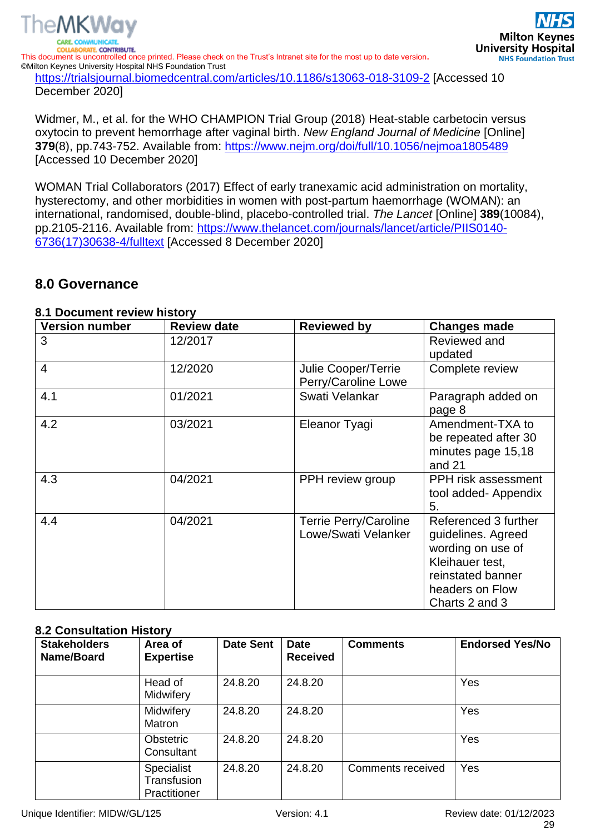

December 2020]

Widmer, M., et al. for the WHO CHAMPION Trial Group (2018) Heat-stable carbetocin versus oxytocin to prevent hemorrhage after vaginal birth. *New England Journal of Medicine* [Online] **379**(8), pp.743-752. Available from:<https://www.nejm.org/doi/full/10.1056/nejmoa1805489> [Accessed 10 December 2020]

WOMAN Trial Collaborators (2017) Effect of early tranexamic acid administration on mortality, hysterectomy, and other morbidities in women with post-partum haemorrhage (WOMAN): an international, randomised, double-blind, placebo-controlled trial. *The Lancet* [Online] **389**(10084), pp.2105-2116. Available from: [https://www.thelancet.com/journals/lancet/article/PIIS0140-](https://www.thelancet.com/journals/lancet/article/PIIS0140-6736(17)30638-4/fulltext) [6736\(17\)30638-4/fulltext](https://www.thelancet.com/journals/lancet/article/PIIS0140-6736(17)30638-4/fulltext) [Accessed 8 December 2020]

### <span id="page-28-0"></span>**8.0 Governance**

#### <span id="page-28-1"></span>**8.1 Document review history**

| <b>Version number</b> | <b>Review date</b> | <b>Reviewed by</b>                                  | <b>Changes made</b>                                                                                                                          |
|-----------------------|--------------------|-----------------------------------------------------|----------------------------------------------------------------------------------------------------------------------------------------------|
| 3                     | 12/2017            |                                                     | Reviewed and<br>updated                                                                                                                      |
| $\overline{4}$        | 12/2020            | Julie Cooper/Terrie<br>Perry/Caroline Lowe          | Complete review                                                                                                                              |
| 4.1                   | 01/2021            | Swati Velankar                                      | Paragraph added on<br>page 8                                                                                                                 |
| 4.2                   | 03/2021            | Eleanor Tyagi                                       | Amendment-TXA to<br>be repeated after 30<br>minutes page 15,18<br>and 21                                                                     |
| 4.3                   | 04/2021            | PPH review group                                    | PPH risk assessment<br>tool added- Appendix<br>5.                                                                                            |
| 4.4                   | 04/2021            | <b>Terrie Perry/Caroline</b><br>Lowe/Swati Velanker | Referenced 3 further<br>guidelines. Agreed<br>wording on use of<br>Kleihauer test,<br>reinstated banner<br>headers on Flow<br>Charts 2 and 3 |

#### <span id="page-28-2"></span>**8.2 Consultation History**

| <b>Stakeholders</b><br>Name/Board | Area of<br><b>Expertise</b>               | <b>Date Sent</b> | <b>Date</b><br><b>Received</b> | <b>Comments</b>   | <b>Endorsed Yes/No</b> |
|-----------------------------------|-------------------------------------------|------------------|--------------------------------|-------------------|------------------------|
|                                   | Head of<br>Midwifery                      | 24.8.20          | 24.8.20                        |                   | Yes                    |
|                                   | Midwifery<br>Matron                       | 24.8.20          | 24.8.20                        |                   | Yes                    |
|                                   | Obstetric<br>Consultant                   | 24.8.20          | 24.8.20                        |                   | Yes                    |
|                                   | Specialist<br>Transfusion<br>Practitioner | 24.8.20          | 24.8.20                        | Comments received | Yes                    |

**Milton Keynes** 

**NHS Foundation Trust**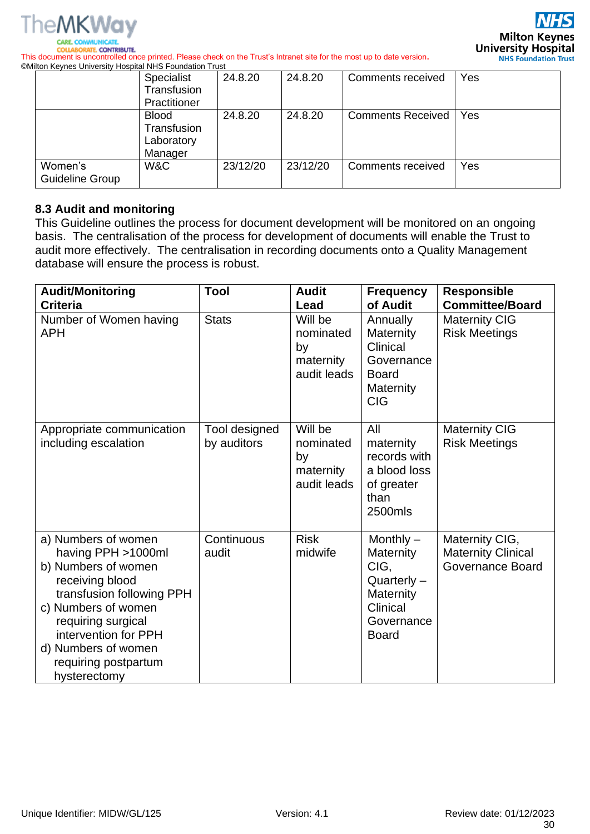

**Milton Keynes University Hospital NHS Foundation Trust** 

**COLLABORATE, CONTRIBUTE.** This document is uncontrolled once printed. Please check on the Trust's Intranet site for the most up to date version**.** ©Milton Keynes University Hospital NHS Foundation Trust

|                            | Specialist<br>Transfusion<br>Practitioner            | 24.8.20  | 24.8.20  | Comments received        | Yes |
|----------------------------|------------------------------------------------------|----------|----------|--------------------------|-----|
|                            | <b>Blood</b><br>Transfusion<br>Laboratory<br>Manager | 24.8.20  | 24.8.20  | <b>Comments Received</b> | Yes |
| Women's<br>Guideline Group | W&C                                                  | 23/12/20 | 23/12/20 | Comments received        | Yes |

#### <span id="page-29-0"></span>**8.3 Audit and monitoring**

This Guideline outlines the process for document development will be monitored on an ongoing basis. The centralisation of the process for development of documents will enable the Trust to audit more effectively. The centralisation in recording documents onto a Quality Management database will ensure the process is robust.

| <b>Audit/Monitoring</b><br><b>Criteria</b>                                                                                                                                                                                                           | Tool                         | <b>Audit</b><br>Lead                                   | <b>Frequency</b><br>of Audit                                                                             | <b>Responsible</b><br><b>Committee/Board</b>                           |
|------------------------------------------------------------------------------------------------------------------------------------------------------------------------------------------------------------------------------------------------------|------------------------------|--------------------------------------------------------|----------------------------------------------------------------------------------------------------------|------------------------------------------------------------------------|
| Number of Women having<br><b>APH</b>                                                                                                                                                                                                                 | <b>Stats</b>                 | Will be<br>nominated<br>by<br>maternity<br>audit leads | Annually<br>Maternity<br>Clinical<br>Governance<br><b>Board</b><br>Maternity<br><b>CIG</b>               | <b>Maternity CIG</b><br><b>Risk Meetings</b>                           |
| Appropriate communication<br>including escalation                                                                                                                                                                                                    | Tool designed<br>by auditors | Will be<br>nominated<br>by<br>maternity<br>audit leads | All<br>maternity<br>records with<br>a blood loss<br>of greater<br>than<br>2500mls                        | <b>Maternity CIG</b><br><b>Risk Meetings</b>                           |
| a) Numbers of women<br>having PPH >1000ml<br>b) Numbers of women<br>receiving blood<br>transfusion following PPH<br>c) Numbers of women<br>requiring surgical<br>intervention for PPH<br>d) Numbers of women<br>requiring postpartum<br>hysterectomy | Continuous<br>audit          | <b>Risk</b><br>midwife                                 | Monthly $-$<br>Maternity<br>CIG,<br>$Quarterly -$<br>Maternity<br>Clinical<br>Governance<br><b>Board</b> | Maternity CIG,<br><b>Maternity Clinical</b><br><b>Governance Board</b> |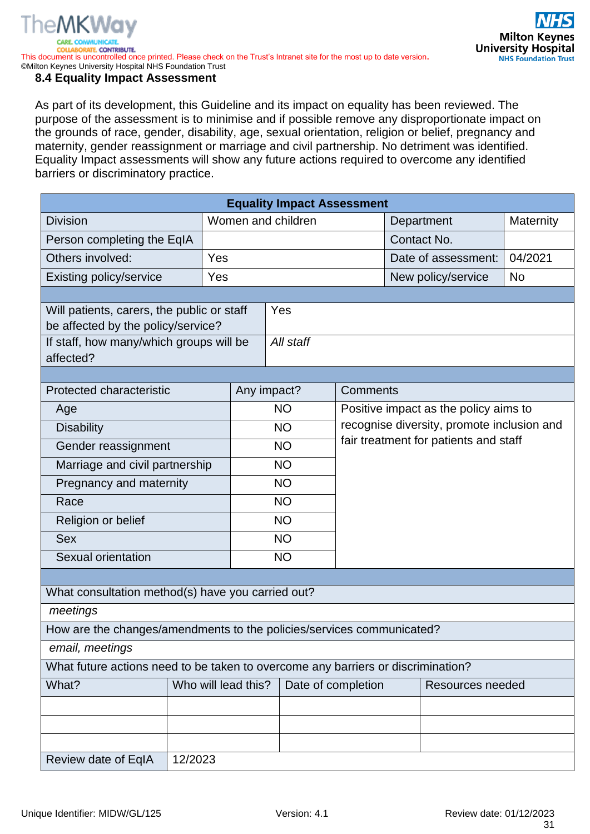

This document is uncontrolled once printed. Please check on the Trust's Intranet site for the most up to date version**.** ©Milton Keynes University Hospital NHS Foundation Trust

#### <span id="page-30-0"></span>**8.4 Equality Impact Assessment**

As part of its development, this Guideline and its impact on equality has been reviewed. The purpose of the assessment is to minimise and if possible remove any disproportionate impact on the grounds of race, gender, disability, age, sexual orientation, religion or belief, pregnancy and maternity, gender reassignment or marriage and civil partnership. No detriment was identified. Equality Impact assessments will show any future actions required to overcome any identified barriers or discriminatory practice.

| <b>Equality Impact Assessment</b>                                     |                                                                                  |                     |             |                    |                                            |           |  |
|-----------------------------------------------------------------------|----------------------------------------------------------------------------------|---------------------|-------------|--------------------|--------------------------------------------|-----------|--|
| <b>Division</b>                                                       |                                                                                  | Women and children  |             | Department         | Maternity                                  |           |  |
| Person completing the EqIA                                            |                                                                                  |                     |             |                    | Contact No.                                |           |  |
| Others involved:                                                      | Yes                                                                              |                     |             |                    | Date of assessment:                        | 04/2021   |  |
| <b>Existing policy/service</b>                                        | Yes                                                                              |                     |             |                    | New policy/service                         | <b>No</b> |  |
|                                                                       |                                                                                  |                     |             |                    |                                            |           |  |
| Will patients, carers, the public or staff                            |                                                                                  |                     | Yes         |                    |                                            |           |  |
| be affected by the policy/service?                                    |                                                                                  |                     | All staff   |                    |                                            |           |  |
| If staff, how many/which groups will be<br>affected?                  |                                                                                  |                     |             |                    |                                            |           |  |
|                                                                       |                                                                                  |                     |             |                    |                                            |           |  |
| <b>Protected characteristic</b>                                       |                                                                                  |                     | Any impact? | Comments           |                                            |           |  |
| Age                                                                   |                                                                                  |                     | <b>NO</b>   |                    | Positive impact as the policy aims to      |           |  |
| <b>Disability</b>                                                     |                                                                                  |                     | <b>NO</b>   |                    | recognise diversity, promote inclusion and |           |  |
| Gender reassignment                                                   |                                                                                  |                     | <b>NO</b>   |                    | fair treatment for patients and staff      |           |  |
| Marriage and civil partnership                                        |                                                                                  | <b>NO</b>           |             |                    |                                            |           |  |
| Pregnancy and maternity                                               |                                                                                  |                     | <b>NO</b>   |                    |                                            |           |  |
| Race                                                                  |                                                                                  |                     | <b>NO</b>   |                    |                                            |           |  |
| Religion or belief                                                    |                                                                                  | <b>NO</b>           |             |                    |                                            |           |  |
| <b>Sex</b>                                                            |                                                                                  | <b>NO</b>           |             |                    |                                            |           |  |
| Sexual orientation                                                    |                                                                                  |                     | <b>NO</b>   |                    |                                            |           |  |
|                                                                       |                                                                                  |                     |             |                    |                                            |           |  |
| What consultation method(s) have you carried out?                     |                                                                                  |                     |             |                    |                                            |           |  |
| meetings                                                              |                                                                                  |                     |             |                    |                                            |           |  |
| How are the changes/amendments to the policies/services communicated? |                                                                                  |                     |             |                    |                                            |           |  |
| email, meetings                                                       |                                                                                  |                     |             |                    |                                            |           |  |
|                                                                       | What future actions need to be taken to overcome any barriers or discrimination? |                     |             |                    |                                            |           |  |
| What?                                                                 |                                                                                  | Who will lead this? |             | Date of completion | Resources needed                           |           |  |
|                                                                       |                                                                                  |                     |             |                    |                                            |           |  |
|                                                                       |                                                                                  |                     |             |                    |                                            |           |  |
|                                                                       |                                                                                  |                     |             |                    |                                            |           |  |
| Review date of EqIA                                                   | 12/2023                                                                          |                     |             |                    |                                            |           |  |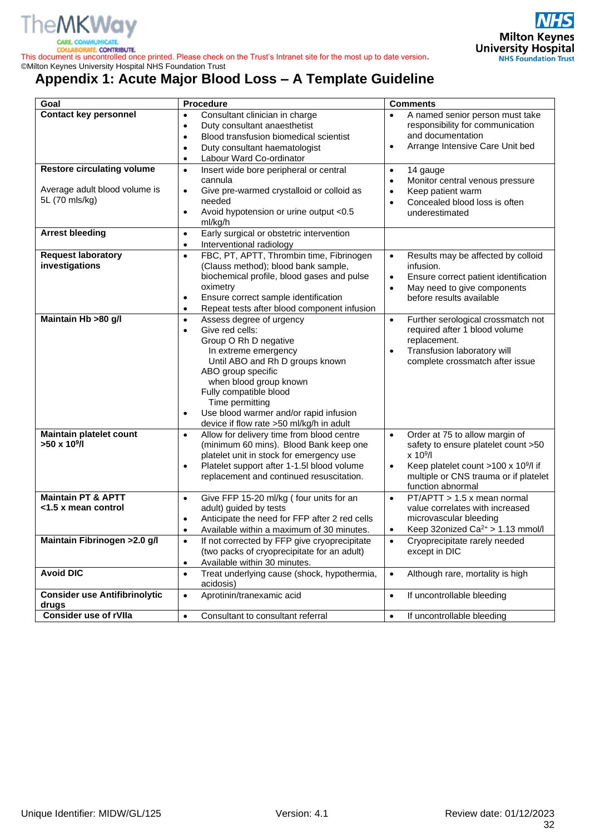

COLLA

This document is uncontrolled once printed. Please check on the Trust's Intranet site for the most up to date version**.** ©Milton Keynes University Hospital NHS Foundation Trust

# <span id="page-31-0"></span>**Appendix 1: Acute Major Blood Loss – A Template Guideline**

| Goal                                 | <b>Procedure</b>                                                                         | <b>Comments</b>                                                                  |  |
|--------------------------------------|------------------------------------------------------------------------------------------|----------------------------------------------------------------------------------|--|
| <b>Contact key personnel</b>         | Consultant clinician in charge<br>$\bullet$<br>Duty consultant anaesthetist<br>$\bullet$ | A named senior person must take<br>$\bullet$<br>responsibility for communication |  |
|                                      | Blood transfusion biomedical scientist<br>$\bullet$                                      | and documentation                                                                |  |
|                                      | Duty consultant haematologist<br>$\bullet$                                               | Arrange Intensive Care Unit bed<br>$\bullet$                                     |  |
|                                      | Labour Ward Co-ordinator<br>$\bullet$                                                    |                                                                                  |  |
| <b>Restore circulating volume</b>    | Insert wide bore peripheral or central<br>$\bullet$<br>cannula                           | 14 gauge<br>$\bullet$<br>Monitor central venous pressure<br>$\bullet$            |  |
| Average adult blood volume is        | Give pre-warmed crystalloid or colloid as<br>$\bullet$                                   | Keep patient warm<br>$\bullet$                                                   |  |
| 5L (70 mls/kg)                       | needed                                                                                   | Concealed blood loss is often<br>$\bullet$                                       |  |
|                                      | Avoid hypotension or urine output <0.5<br>$\bullet$                                      | underestimated                                                                   |  |
|                                      | ml/kg/h                                                                                  |                                                                                  |  |
| <b>Arrest bleeding</b>               | Early surgical or obstetric intervention<br>$\bullet$                                    |                                                                                  |  |
|                                      | Interventional radiology<br>$\bullet$                                                    |                                                                                  |  |
| <b>Request laboratory</b>            | FBC, PT, APTT, Thrombin time, Fibrinogen<br>$\bullet$                                    | Results may be affected by colloid<br>$\bullet$                                  |  |
| investigations                       | (Clauss method); blood bank sample,                                                      | infusion.                                                                        |  |
|                                      | biochemical profile, blood gases and pulse                                               | Ensure correct patient identification<br>$\bullet$                               |  |
|                                      | oximetry                                                                                 | May need to give components<br>$\bullet$                                         |  |
|                                      | Ensure correct sample identification<br>$\bullet$                                        | before results available                                                         |  |
|                                      | Repeat tests after blood component infusion<br>$\bullet$                                 |                                                                                  |  |
| Maintain Hb >80 g/l                  | Assess degree of urgency<br>$\bullet$                                                    | Further serological crossmatch not<br>$\bullet$                                  |  |
|                                      | Give red cells:<br>$\bullet$                                                             | required after 1 blood volume                                                    |  |
|                                      | Group O Rh D negative                                                                    | replacement.                                                                     |  |
|                                      | In extreme emergency                                                                     | Transfusion laboratory will<br>$\bullet$                                         |  |
|                                      | Until ABO and Rh D groups known<br>ABO group specific                                    | complete crossmatch after issue                                                  |  |
|                                      | when blood group known                                                                   |                                                                                  |  |
|                                      | Fully compatible blood                                                                   |                                                                                  |  |
|                                      | Time permitting                                                                          |                                                                                  |  |
|                                      | Use blood warmer and/or rapid infusion<br>$\bullet$                                      |                                                                                  |  |
|                                      | device if flow rate >50 ml/kg/h in adult                                                 |                                                                                  |  |
| Maintain platelet count              | Allow for delivery time from blood centre<br>$\bullet$                                   | Order at 75 to allow margin of<br>$\bullet$                                      |  |
| $>50 \times 10^9$ /l                 | (minimum 60 mins). Blood Bank keep one                                                   | safety to ensure platelet count >50                                              |  |
|                                      | platelet unit in stock for emergency use                                                 | $\times 10^9$ /l                                                                 |  |
|                                      | Platelet support after 1-1.5l blood volume<br>$\bullet$                                  | Keep platelet count >100 x 10 <sup>9</sup> /l if<br>$\bullet$                    |  |
|                                      | replacement and continued resuscitation.                                                 | multiple or CNS trauma or if platelet                                            |  |
|                                      |                                                                                          | function abnormal                                                                |  |
| <b>Maintain PT &amp; APTT</b>        | Give FFP 15-20 ml/kg (four units for an<br>$\bullet$                                     | PT/APTT > 1.5 x mean normal<br>$\bullet$                                         |  |
| <1.5 x mean control                  | adult) guided by tests                                                                   | value correlates with increased                                                  |  |
|                                      | Anticipate the need for FFP after 2 red cells<br>$\bullet$                               | microvascular bleeding                                                           |  |
|                                      | Available within a maximum of 30 minutes.<br>$\bullet$                                   | Keep 32onized Ca <sup>2+</sup> > 1.13 mmol/l<br>$\bullet$                        |  |
| Maintain Fibrinogen > 2.0 g/l        | If not corrected by FFP give cryoprecipitate<br>$\bullet$                                | Cryoprecipitate rarely needed<br>$\bullet$                                       |  |
|                                      | (two packs of cryoprecipitate for an adult)                                              | except in DIC                                                                    |  |
| <b>Avoid DIC</b>                     | Available within 30 minutes.<br>$\bullet$                                                |                                                                                  |  |
|                                      | Treat underlying cause (shock, hypothermia,<br>$\bullet$<br>acidosis)                    | Although rare, mortality is high<br>$\bullet$                                    |  |
| <b>Consider use Antifibrinolytic</b> | Aprotinin/tranexamic acid<br>$\bullet$                                                   | If uncontrollable bleeding<br>$\bullet$                                          |  |
| drugs                                |                                                                                          |                                                                                  |  |
| <b>Consider use of rVIIa</b>         | Consultant to consultant referral<br>$\bullet$                                           | If uncontrollable bleeding<br>$\bullet$                                          |  |

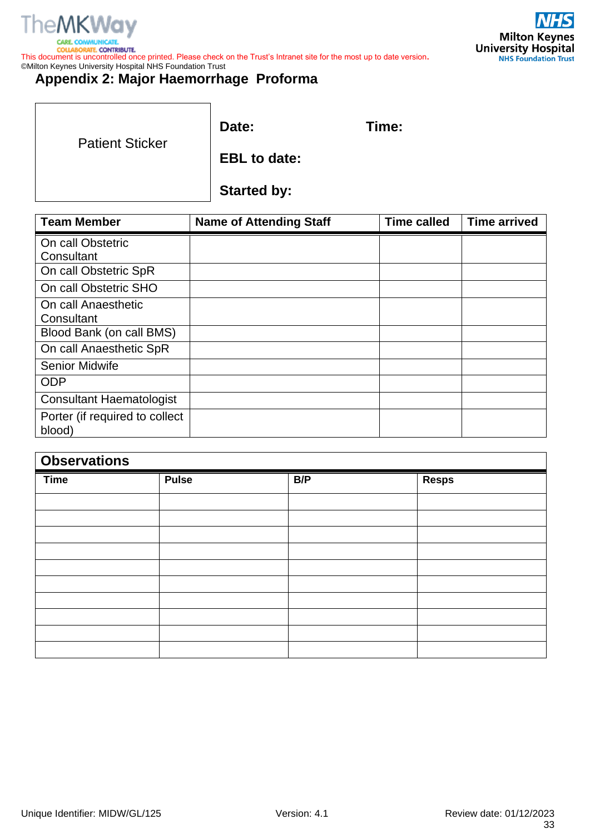

BORATE CONTRIBUTE. **COLLA** This document is uncontrolled once printed. Please check on the Trust's Intranet site for the most up to date version**.** ©Milton Keynes University Hospital NHS Foundation Trust



## <span id="page-32-0"></span>**Appendix 2: Major Haemorrhage Proforma**

|                        | Date:               | Time: |
|------------------------|---------------------|-------|
| <b>Patient Sticker</b> | <b>EBL</b> to date: |       |
|                        | <b>Started by:</b>  |       |

| <b>Team Member</b>              | <b>Name of Attending Staff</b> | <b>Time called</b> | <b>Time arrived</b> |
|---------------------------------|--------------------------------|--------------------|---------------------|
| On call Obstetric               |                                |                    |                     |
| Consultant                      |                                |                    |                     |
| On call Obstetric SpR           |                                |                    |                     |
| On call Obstetric SHO           |                                |                    |                     |
| On call Anaesthetic             |                                |                    |                     |
| Consultant                      |                                |                    |                     |
| Blood Bank (on call BMS)        |                                |                    |                     |
| On call Anaesthetic SpR         |                                |                    |                     |
| <b>Senior Midwife</b>           |                                |                    |                     |
| <b>ODP</b>                      |                                |                    |                     |
| <b>Consultant Haematologist</b> |                                |                    |                     |
| Porter (if required to collect) |                                |                    |                     |
| blood)                          |                                |                    |                     |

| <b>Observations</b> |              |     |              |  |
|---------------------|--------------|-----|--------------|--|
| <b>Time</b>         | <b>Pulse</b> | B/P | <b>Resps</b> |  |
|                     |              |     |              |  |
|                     |              |     |              |  |
|                     |              |     |              |  |
|                     |              |     |              |  |
|                     |              |     |              |  |
|                     |              |     |              |  |
|                     |              |     |              |  |
|                     |              |     |              |  |
|                     |              |     |              |  |
|                     |              |     |              |  |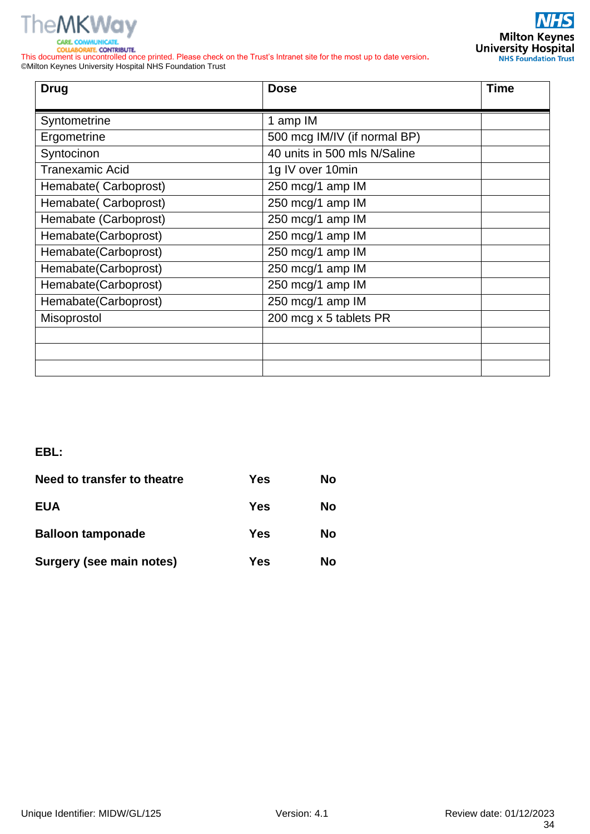

**COLLABORATE, CONTRIBUTE.** 

**NHS Milton Keynes**<br>University Hospital<br>NHS Foundation Trust

This document is uncontrolled once printed. Please check on the Trust's Intranet site for the most up to date version**.** ©Milton Keynes University Hospital NHS Foundation Trust

| <b>Drug</b>            | <b>Dose</b>                  | <b>Time</b> |
|------------------------|------------------------------|-------------|
| Syntometrine           | 1 amp IM                     |             |
| Ergometrine            | 500 mcg IM/IV (if normal BP) |             |
| Syntocinon             | 40 units in 500 mls N/Saline |             |
| <b>Tranexamic Acid</b> | 1g IV over 10min             |             |
| Hemabate(Carboprost)   | 250 mcg/1 amp IM             |             |
| Hemabate(Carboprost)   | 250 mcg/1 amp IM             |             |
| Hemabate (Carboprost)  | 250 mcg/1 amp IM             |             |
| Hemabate(Carboprost)   | 250 mcg/1 amp IM             |             |
| Hemabate(Carboprost)   | 250 mcg/1 amp IM             |             |
| Hemabate(Carboprost)   | 250 mcg/1 amp IM             |             |
| Hemabate(Carboprost)   | 250 mcg/1 amp IM             |             |
| Hemabate(Carboprost)   | 250 mcg/1 amp IM             |             |
| Misoprostol            | 200 mcg x 5 tablets PR       |             |
|                        |                              |             |
|                        |                              |             |
|                        |                              |             |

#### **EBL:**

| Need to transfer to theatre | Yes | No |
|-----------------------------|-----|----|
| <b>EUA</b>                  | Yes | No |
| <b>Balloon tamponade</b>    | Yes | No |
| Surgery (see main notes)    | Yes | Nο |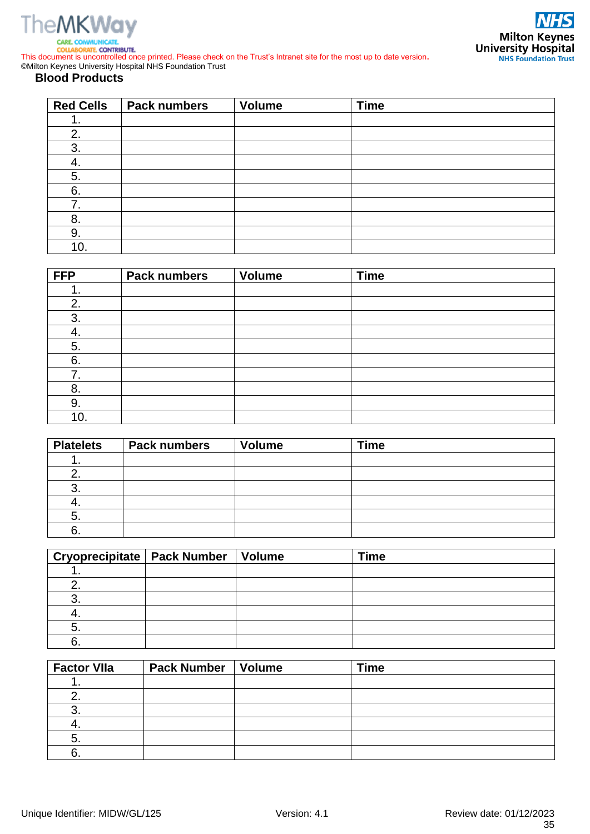



**COLLABORATE, CONTRIBUTE.** This document is uncontrolled once printed. Please check on the Trust's Intranet site for the most up to date version**.** ©Milton Keynes University Hospital NHS Foundation Trust

#### **Blood Products**

| <b>Red Cells</b> | <b>Pack numbers</b> | <b>Volume</b> | <b>Time</b> |
|------------------|---------------------|---------------|-------------|
|                  |                     |               |             |
| 2.               |                     |               |             |
| 3.               |                     |               |             |
|                  |                     |               |             |
| 5.               |                     |               |             |
| 6.               |                     |               |             |
| 7.               |                     |               |             |
| 8.               |                     |               |             |
| 9.               |                     |               |             |
| 10.              |                     |               |             |

| <b>FFP</b> | <b>Pack numbers</b> | <b>Volume</b> | <b>Time</b> |
|------------|---------------------|---------------|-------------|
|            |                     |               |             |
| 2.         |                     |               |             |
| 3.         |                     |               |             |
| 4.         |                     |               |             |
| 5.         |                     |               |             |
| 6.         |                     |               |             |
| 7.         |                     |               |             |
| 8.         |                     |               |             |
| 9.         |                     |               |             |
| 10.        |                     |               |             |

| <b>Platelets</b> | <b>Pack numbers</b> | <b>Volume</b> | <b>Time</b> |
|------------------|---------------------|---------------|-------------|
|                  |                     |               |             |
|                  |                     |               |             |
| J.               |                     |               |             |
| Ť.               |                     |               |             |
| э.               |                     |               |             |
| υ.               |                     |               |             |

|  | <b>Time</b> |
|--|-------------|
|  |             |
|  |             |
|  |             |
|  |             |
|  |             |
|  |             |

| <b>Factor VIIa</b> | Pack Number | <b>Volume</b> | <b>Time</b> |
|--------------------|-------------|---------------|-------------|
|                    |             |               |             |
|                    |             |               |             |
|                    |             |               |             |
|                    |             |               |             |
|                    |             |               |             |
|                    |             |               |             |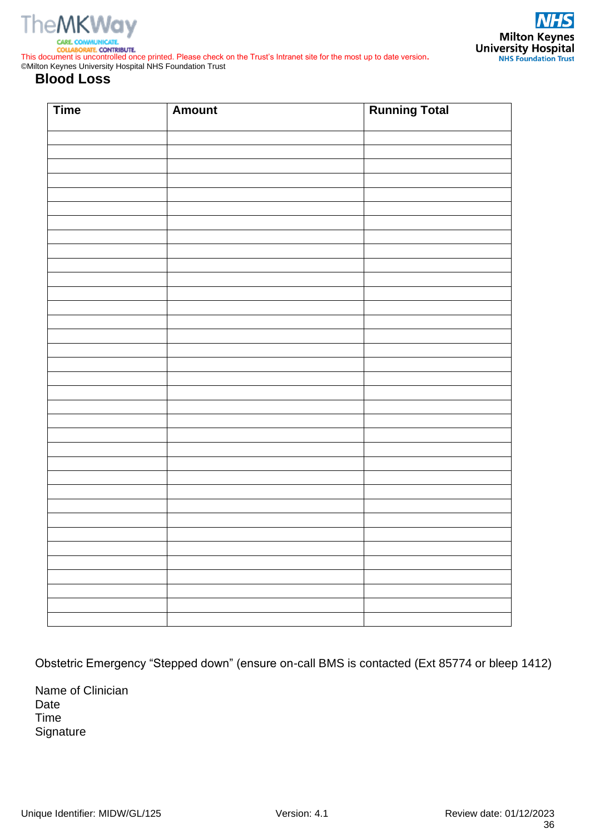



**SORATE, CONTRIBUTE.** This document is uncontrolled once printed. Please check on the Trust's Intranet site for the most up to date version**.** ©Milton Keynes University Hospital NHS Foundation Trust

#### **Blood Loss**

| <b>Time</b> | <b>Amount</b> | <b>Running Total</b> |
|-------------|---------------|----------------------|
|             |               |                      |
|             |               |                      |
|             |               |                      |
|             |               |                      |
|             |               |                      |
|             |               |                      |
|             |               |                      |
|             |               |                      |
|             |               |                      |
|             |               |                      |
|             |               |                      |
|             |               |                      |
|             |               |                      |
|             |               |                      |
|             |               |                      |
|             |               |                      |
|             |               |                      |
|             |               |                      |
|             |               |                      |
|             |               |                      |
|             |               |                      |
|             |               |                      |
|             |               |                      |
|             |               |                      |
|             |               |                      |
|             |               |                      |
|             |               |                      |
|             |               |                      |
|             |               |                      |
|             |               |                      |
|             |               |                      |
|             |               |                      |
|             |               |                      |

Obstetric Emergency "Stepped down" (ensure on-call BMS is contacted (Ext 85774 or bleep 1412)

Name of Clinician Date Time **Signature**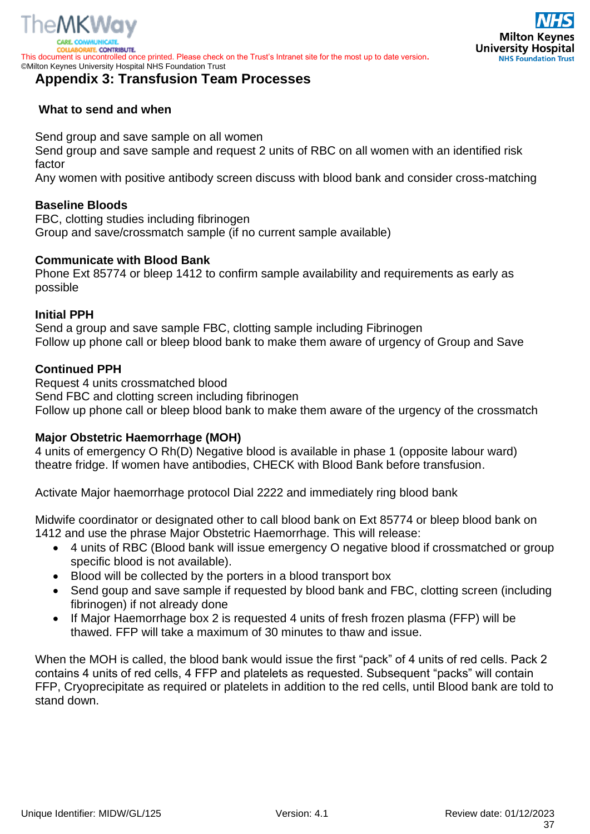

RATE, CONTRIBUTE. This document is uncontrolled once printed. Please check on the Trust's Intranet site for the most up to date version**.** ©Milton Keynes University Hospital NHS Foundation Trust

#### <span id="page-36-0"></span>**Appendix 3: Transfusion Team Processes**

# **Milton Keynes University Hospital NHS Foundation Trust**

#### **What to send and when**

Send group and save sample on all women

Send group and save sample and request 2 units of RBC on all women with an identified risk factor

Any women with positive antibody screen discuss with blood bank and consider cross-matching

#### **Baseline Bloods**

FBC, clotting studies including fibrinogen Group and save/crossmatch sample (if no current sample available)

#### **Communicate with Blood Bank**

Phone Ext 85774 or bleep 1412 to confirm sample availability and requirements as early as possible

#### **Initial PPH**

Send a group and save sample FBC, clotting sample including Fibrinogen Follow up phone call or bleep blood bank to make them aware of urgency of Group and Save

#### **Continued PPH**

Request 4 units crossmatched blood Send FBC and clotting screen including fibrinogen Follow up phone call or bleep blood bank to make them aware of the urgency of the crossmatch

#### **Major Obstetric Haemorrhage (MOH)**

4 units of emergency O Rh(D) Negative blood is available in phase 1 (opposite labour ward) theatre fridge. If women have antibodies, CHECK with Blood Bank before transfusion.

Activate Major haemorrhage protocol Dial 2222 and immediately ring blood bank

Midwife coordinator or designated other to call blood bank on Ext 85774 or bleep blood bank on 1412 and use the phrase Major Obstetric Haemorrhage. This will release:

- 4 units of RBC (Blood bank will issue emergency O negative blood if crossmatched or group specific blood is not available).
- Blood will be collected by the porters in a blood transport box
- Send goup and save sample if requested by blood bank and FBC, clotting screen (including fibrinogen) if not already done
- If Major Haemorrhage box 2 is requested 4 units of fresh frozen plasma (FFP) will be thawed. FFP will take a maximum of 30 minutes to thaw and issue.

When the MOH is called, the blood bank would issue the first "pack" of 4 units of red cells. Pack 2 contains 4 units of red cells, 4 FFP and platelets as requested. Subsequent "packs" will contain FFP, Cryoprecipitate as required or platelets in addition to the red cells, until Blood bank are told to stand down.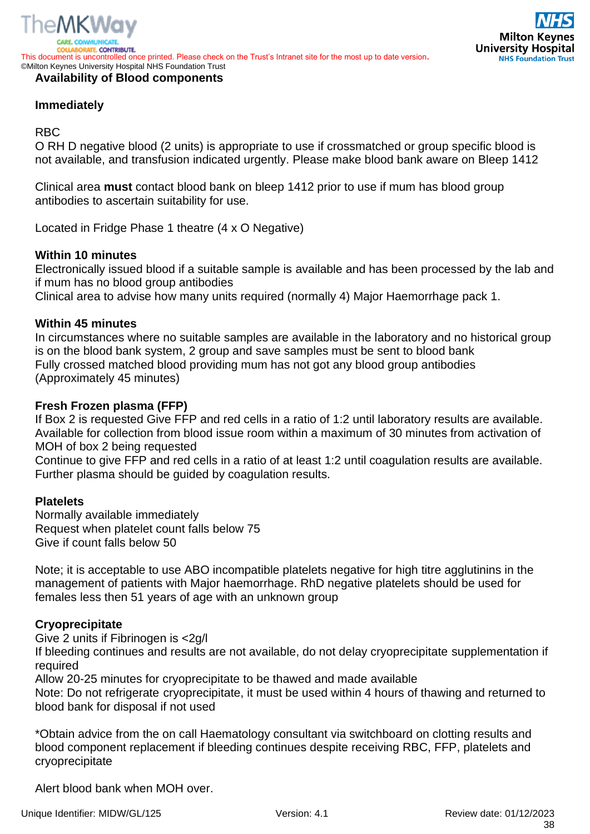

#### **Availability of Blood components**

#### **Immediately**

#### RBC

O RH D negative blood (2 units) is appropriate to use if crossmatched or group specific blood is not available, and transfusion indicated urgently. Please make blood bank aware on Bleep 1412

Clinical area **must** contact blood bank on bleep 1412 prior to use if mum has blood group antibodies to ascertain suitability for use.

Located in Fridge Phase 1 theatre (4 x O Negative)

#### **Within 10 minutes**

Electronically issued blood if a suitable sample is available and has been processed by the lab and if mum has no blood group antibodies

Clinical area to advise how many units required (normally 4) Major Haemorrhage pack 1.

#### **Within 45 minutes**

In circumstances where no suitable samples are available in the laboratory and no historical group is on the blood bank system, 2 group and save samples must be sent to blood bank Fully crossed matched blood providing mum has not got any blood group antibodies (Approximately 45 minutes)

#### **Fresh Frozen plasma (FFP)**

If Box 2 is requested Give FFP and red cells in a ratio of 1:2 until laboratory results are available. Available for collection from blood issue room within a maximum of 30 minutes from activation of MOH of box 2 being requested

Continue to give FFP and red cells in a ratio of at least 1:2 until coagulation results are available. Further plasma should be guided by coagulation results.

#### **Platelets**

Normally available immediately Request when platelet count falls below 75 Give if count falls below 50

Note; it is acceptable to use ABO incompatible platelets negative for high titre agglutinins in the management of patients with Major haemorrhage. RhD negative platelets should be used for females less then 51 years of age with an unknown group

#### **Cryoprecipitate**

Give 2 units if Fibrinogen is <2g/l

If bleeding continues and results are not available, do not delay cryoprecipitate supplementation if required

Allow 20-25 minutes for cryoprecipitate to be thawed and made available

Note: Do not refrigerate cryoprecipitate, it must be used within 4 hours of thawing and returned to blood bank for disposal if not used

\*Obtain advice from the on call Haematology consultant via switchboard on clotting results and blood component replacement if bleeding continues despite receiving RBC, FFP, platelets and cryoprecipitate

Alert blood bank when MOH over.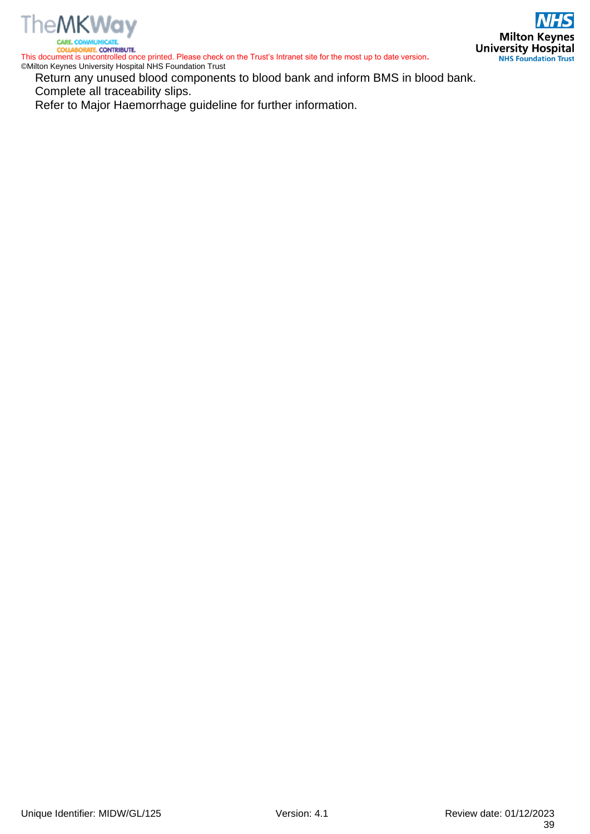

This document is uncontrolled once printed. Please check on the Trust's Intranet site for the most up to date version**.** ©Milton Keynes University Hospital NHS Foundation Trust

Return any unused blood components to blood bank and inform BMS in blood bank. Complete all traceability slips.

Refer to Major Haemorrhage guideline for further information.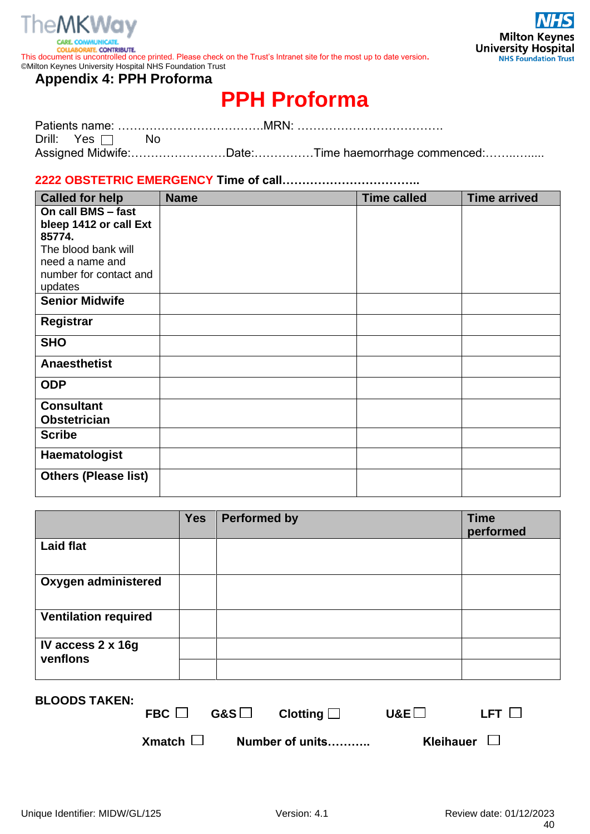

COLLA

BORATE, CONTRIBUTE. This document is uncontrolled once printed. Please check on the Trust's Intranet site for the most up to date version**.** ©Milton Keynes University Hospital NHS Foundation Trust

#### <span id="page-39-0"></span>**Appendix 4: PPH Proforma**

# **PPH Proforma**

| Drill: Yes $\Box$ No |                                                   |  |
|----------------------|---------------------------------------------------|--|
|                      | Assigned Midwife:Date:Time haemorrhage commenced: |  |

#### **2222 OBSTETRIC EMERGENCY Time of call……………………………..**

| <b>Called for help</b>      | <b>Name</b> | <b>Time called</b> | <b>Time arrived</b> |
|-----------------------------|-------------|--------------------|---------------------|
| On call BMS - fast          |             |                    |                     |
| bleep 1412 or call Ext      |             |                    |                     |
| 85774.                      |             |                    |                     |
| The blood bank will         |             |                    |                     |
| need a name and             |             |                    |                     |
| number for contact and      |             |                    |                     |
| updates                     |             |                    |                     |
| <b>Senior Midwife</b>       |             |                    |                     |
| Registrar                   |             |                    |                     |
| <b>SHO</b>                  |             |                    |                     |
| <b>Anaesthetist</b>         |             |                    |                     |
| <b>ODP</b>                  |             |                    |                     |
| <b>Consultant</b>           |             |                    |                     |
| <b>Obstetrician</b>         |             |                    |                     |
| <b>Scribe</b>               |             |                    |                     |
| Haematologist               |             |                    |                     |
| <b>Others (Please list)</b> |             |                    |                     |

|                               | <b>Yes</b> | <b>Performed by</b> | <b>Time</b><br>performed |
|-------------------------------|------------|---------------------|--------------------------|
| <b>Laid flat</b>              |            |                     |                          |
| Oxygen administered           |            |                     |                          |
| <b>Ventilation required</b>   |            |                     |                          |
| IV access 2 x 16g<br>venflons |            |                     |                          |

| <b>BLOODS TAKEN:</b> | FBC $\Box$       | G&S $\Box$ Clotting $\Box$ | $U$ &E $\Box$    | LFT LI |
|----------------------|------------------|----------------------------|------------------|--------|
|                      | $X$ match $\Box$ | Number of units            | Kleihauer $\Box$ |        |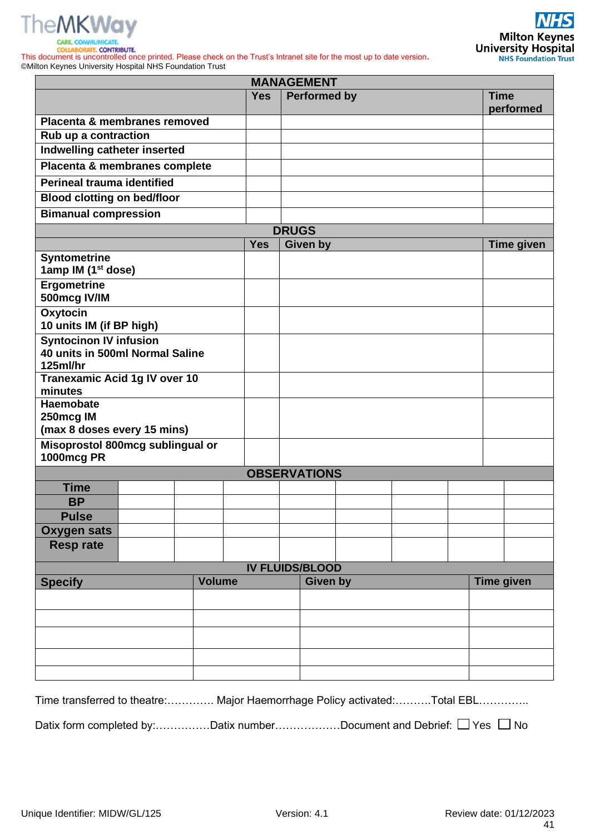



SORATE, CONTRIBUTE. COLLA This document is uncontrolled once printed. Please check on the Trust's Intranet site for the most up to date version**.** ©Milton Keynes University Hospital NHS Foundation Trust

|                                                                              |               |            | <b>MANAGEMENT</b>   |  |  |  |                          |
|------------------------------------------------------------------------------|---------------|------------|---------------------|--|--|--|--------------------------|
|                                                                              |               | <b>Yes</b> | <b>Performed by</b> |  |  |  | <b>Time</b><br>performed |
| Placenta & membranes removed                                                 |               |            |                     |  |  |  |                          |
| Rub up a contraction                                                         |               |            |                     |  |  |  |                          |
| Indwelling catheter inserted                                                 |               |            |                     |  |  |  |                          |
| Placenta & membranes complete                                                |               |            |                     |  |  |  |                          |
| Perineal trauma identified                                                   |               |            |                     |  |  |  |                          |
| <b>Blood clotting on bed/floor</b>                                           |               |            |                     |  |  |  |                          |
| <b>Bimanual compression</b>                                                  |               |            |                     |  |  |  |                          |
|                                                                              |               |            | <b>DRUGS</b>        |  |  |  |                          |
|                                                                              |               | <b>Yes</b> | <b>Given by</b>     |  |  |  | <b>Time given</b>        |
| <b>Syntometrine</b><br>1amp IM (1 <sup>st</sup> dose)                        |               |            |                     |  |  |  |                          |
| Ergometrine<br>500mcg IV/IM                                                  |               |            |                     |  |  |  |                          |
| Oxytocin                                                                     |               |            |                     |  |  |  |                          |
| 10 units IM (if BP high)                                                     |               |            |                     |  |  |  |                          |
| <b>Syntocinon IV infusion</b><br>40 units in 500ml Normal Saline<br>125ml/hr |               |            |                     |  |  |  |                          |
| <b>Tranexamic Acid 1g IV over 10</b>                                         |               |            |                     |  |  |  |                          |
| minutes                                                                      |               |            |                     |  |  |  |                          |
| Haemobate                                                                    |               |            |                     |  |  |  |                          |
| 250mcg IM                                                                    |               |            |                     |  |  |  |                          |
| (max 8 doses every 15 mins)                                                  |               |            |                     |  |  |  |                          |
| Misoprostol 800mcg sublingual or<br><b>1000mcg PR</b>                        |               |            |                     |  |  |  |                          |
|                                                                              |               |            | <b>OBSERVATIONS</b> |  |  |  |                          |
| <b>Time</b>                                                                  |               |            |                     |  |  |  |                          |
| <b>BP</b>                                                                    |               |            |                     |  |  |  |                          |
| <b>Pulse</b>                                                                 |               |            |                     |  |  |  |                          |
| <b>Oxygen sats</b>                                                           |               |            |                     |  |  |  |                          |
| <b>Resp rate</b>                                                             |               |            |                     |  |  |  |                          |
| <b>IV FLUIDS/BLOOD</b>                                                       |               |            |                     |  |  |  |                          |
| <b>Specify</b>                                                               | <b>Volume</b> |            | <b>Given by</b>     |  |  |  | <b>Time given</b>        |
|                                                                              |               |            |                     |  |  |  |                          |
|                                                                              |               |            |                     |  |  |  |                          |
|                                                                              |               |            |                     |  |  |  |                          |
|                                                                              |               |            |                     |  |  |  |                          |
|                                                                              |               |            |                     |  |  |  |                          |
|                                                                              |               |            |                     |  |  |  |                          |
|                                                                              |               |            |                     |  |  |  |                          |

Time transferred to theatre:…………. Major Haemorrhage Policy activated:……….Total EBL…………..

Datix form completed by:...............Datix number.................Document and Debrief:  $\Box$  Yes  $\Box$  No